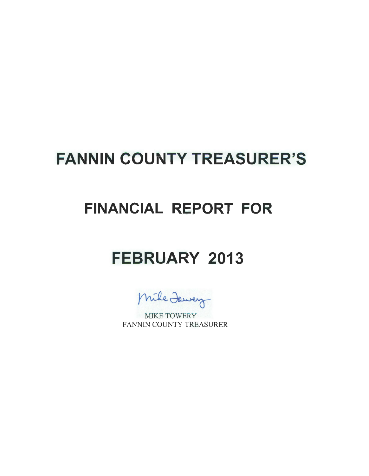# **FANNIN COUNTY TREASURER'S**

## **FINANCIAL REPORT FOR**

## **FEBRUARY 2013**

Mike Jawey

MIKE TOWERY FANNIN COUNTY TREASURER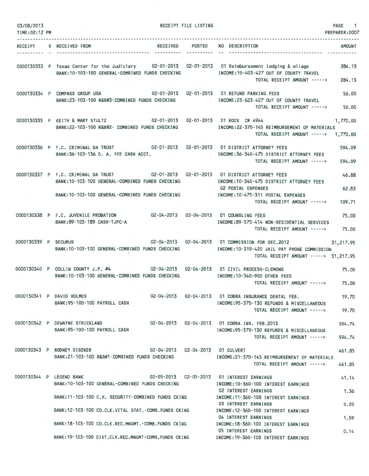| 03/08/2013<br>TIME: 02:12 PM |                                                                                                                                                                                             | RECEIPT FILE LISTING |                                                                                                                                                                                                      | PAGE 1<br>PREPARER: 0007 |
|------------------------------|---------------------------------------------------------------------------------------------------------------------------------------------------------------------------------------------|----------------------|------------------------------------------------------------------------------------------------------------------------------------------------------------------------------------------------------|--------------------------|
|                              | RECEIPT S RECEIVED FROM                                                                                                                                                                     |                      | RECEIVED POSTED NO DESCRIPTION                                                                                                                                                                       | <b>AMOUNT</b>            |
|                              | BANK: 10-103-100 GENERAL-COMBINED FUNDS CHECKING                                                                                                                                            |                      | 0000130333 P Texas Center for the Judiciary 02-01-2013 02-01-2013 01 Reimbursement lodging & milage<br>INCOME:10-403-427 OUT OF COUNTY TRAVEL<br>TOTAL RECEIPT AMOUNT ----->                         | 284.13<br>284.13         |
|                              | 0000130334 P COMPASS GROUP USA<br>BANK:23-103-100 R&B#3-COMBINED FUNDS CHECKING                                                                                                             |                      | INCOME:23-623-427 OUT OF COUNTY TRAVEL<br>TOTAL RECEIPT AMOUNT ----->                                                                                                                                | 56.00<br>56.00           |
|                              | 0000130335 P KEITH & MARY STULTZ 02-01-2013 02-01-2013 01 ROCK CR 4944<br>BANK:22-103-100 R&B#2- COMBINED FUNDS CHECKING                                                                    |                      | INCOME:22-370-145 REIMBURSEMENT OF MATERIALS<br>TOTAL RECEIPT AMOUNT -----> 1,770.00                                                                                                                 | 1,770,00                 |
|                              | 0000130336 P F.C. CRIMINAL DA TRUST 02-01-2013 02-01-2013 01 DISTRICT ATTORNEY FEES<br>BANK: 36-103-136 D. A. FEE CASH ACCT.                                                                |                      | INCOME: 36-340-475 DISTRICT ATTORNEY FEES<br>TOTAL RECEIPT AMOUNT ----->                                                                                                                             | 594.09<br>594.09         |
|                              | 0000130337 P F.C. CRIMINAL DA TRUST 02-01-2013 02-01-2013 01 DISTRICT ATTORNEY FEES<br>BANK: 10-103-100 GENERAL-COMBINED FUNDS CHECKING<br>BANK: 10-103-100 GENERAL-COMBINED FUNDS CHECKING |                      | INCOME: 10-340-475 DISTRICT ATTORNEY FEES<br><b>02 POSTAL EXPENSES</b><br>INCOME: 10-475-311 POSTAL EXPENSES<br>TOTAL RECEIPT AMOUNT ----->                                                          | 46.88<br>62.83<br>109.71 |
|                              | 0000130338 P F.C. JUVENILE PROBATION<br>BANK:89-103-189 CASH-TJPC-A                                                                                                                         |                      | 02-04-2013  02-04-2013  01 COUNSLING FEES<br>INCOME:89-575-414 NON-RESIDENTIAL SERVICES<br>TOTAL RECEIPT AMOUNT -----> 75.00                                                                         | 75.00                    |
| 0000130339 P SECURUS         | BANK:10-103-100 GENERAL-COMBINED FUNDS CHECKING                                                                                                                                             |                      | 02-04-2013  02-04-2013  01 COMMISSION FOR DEC.2012  31,217.95<br>INCOME: 10-319-420 JAIL PAY PHONE COMMISSION<br>TOTAL RECEIPT AMOUNT -----> 31,217.95                                               |                          |
|                              |                                                                                                                                                                                             |                      | 0000130340 P COLLIN COUNTY J.P. #4 02-04-2013 02-04-2013 01 CIVIL PROCESS-CLEMONS<br>BANK:10-103-100 GENERAL-COMBINED FUNDS CHECKING MODE:10-340-900 OTHER FEES<br>TOTAL RECEIPT AMOUNT -----> 75.00 | 75.00                    |
|                              | 0000130341 P DAVID HOLMES<br>BANK: 95-100-100 PAYROLL CASH                                                                                                                                  |                      | 02-04-2013  02-04-2013  01 COBRA INSURANCE DENTAL FEB.<br>INCOME: 95-370-130 REFUNDS & MISCELLANEOUS<br>TOTAL RECEIPT AMOUNT ----->                                                                  | 19.70<br>19.70           |
|                              | 0000130342 P DEWAYNE STRICKLAND<br>BANK:95-100-100 PAYROLL CASH                                                                                                                             |                      | 02-04-2013  02-04-2013  01 COBRA INS, FEB, 2013<br>INCOME: 95-370-130 REFUNDS & MISCELLANEOUS<br>TOTAL RECEIPT AMOUNT ----->                                                                         | 594.74<br>594.74         |
|                              | 0000130343 P RODNEY DISEKER<br>BANK:21-103-100 R&B#1-COMBINED FUNDS CHECKING                                                                                                                |                      | INCOME: 21-370-145 REIMBURSEMENT OF MATERIALS<br>TOTAL RECEIPT AMOUNT ----->                                                                                                                         | 461.85<br>461.85         |
|                              | 0000130344 P LEGEND BANK<br>BANK: 10-103-100 GENERAL-COMBINED FUNDS CHECKING                                                                                                                |                      | 02-05-2013  02-05-2013  01 INTEREST EARNINGS<br>INCOME: 10-360-100 INTEREST EARNINGS<br>02 INTEREST EARNINGS                                                                                         | 41.14                    |
|                              | BANK:11-103-100 C.H. SECURITY-COMBINED FUNDS CKING<br>BANK:12-103-100 CO.CLK.VITAL STAT.-COMB.FUNDS CKING                                                                                   |                      | INCOME: 11-360-100 INTEREST EARNINGS<br>03 INTEREST EARNINGS<br>INCOME: 12-360-100 INTEREST EARNINGS                                                                                                 | 1.36<br>0.20             |
|                              | BANK: 18-103-100 CO.CLK.REC.MNGMT.-COMB.FUNDS CKING                                                                                                                                         |                      | 04 INTEREST EARNINGS<br>INCOME: 18-360-100 INTEREST EARNINGS                                                                                                                                         | 1.59                     |
|                              | BANK:19-103-100 DIST.CLK.REC.MNGMT-COMB.FUNDS CKING                                                                                                                                         |                      | 05 INTEREST EARNINGS<br>INCOME: 19-360-100 INTEREST EARNINGS                                                                                                                                         | 0.14                     |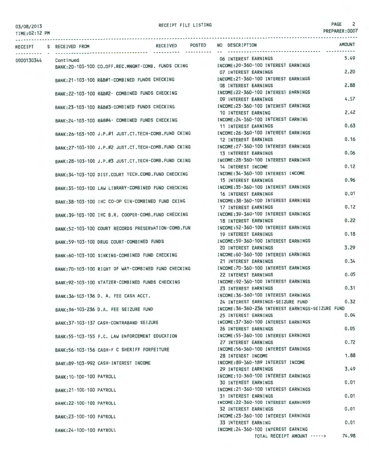TIME:02:12 PM

| RECEIPT              | S RECEIVED FROM          |                                                     | RECEIVED POSTED |  | NO DESCRIPTION                                                                         |                             | <b>AMOUNT</b> |
|----------------------|--------------------------|-----------------------------------------------------|-----------------|--|----------------------------------------------------------------------------------------|-----------------------------|---------------|
|                      |                          |                                                     |                 |  | 06 INTEREST EARNINGS                                                                   |                             | 5.49          |
| 0000130344 Continued |                          | BANK:20-103-100 CO.OFF.REC.MNGMT-COMB. FUNDS CKING  |                 |  | INCOME: 20-360-100 INTEREST EARNINGS                                                   |                             |               |
|                      |                          |                                                     |                 |  | <b>07 INTEREST EARNINGS</b>                                                            |                             | 2.20          |
|                      |                          | BANK:21-103-100 R&B#1-COMBINED FUNDS CHECKING       |                 |  | INCOME: 21-360-100 INTEREST EARNINGS                                                   |                             |               |
|                      |                          |                                                     |                 |  | <b>08 INTEREST EARNINGS</b>                                                            |                             | 2.88          |
|                      |                          | BANK:22-103-100 R&B#2- COMBINED FUNDS CHECKING      |                 |  | INCOME: 22-360-100 INTEREST EARNINGS                                                   |                             |               |
|                      |                          |                                                     |                 |  | 09 INTEREST EARNINGS                                                                   |                             | 4.57          |
|                      |                          | BANK:23-103-100 R&B#3-COMBINED FUNDS CHECKING       |                 |  | INCOME: 23-360-100 INTEREST EARNINGS                                                   |                             |               |
|                      |                          |                                                     |                 |  | 10 INTEREST EARNING                                                                    |                             | 2.42          |
|                      |                          | BANK:24-103-100 R&B#4- COMBINED FUNDS CHECKING      |                 |  | INCOME:24-360-100 INTEREST EARNING                                                     |                             |               |
|                      |                          |                                                     |                 |  | 11 INTEREST EARNINGS                                                                   |                             | 0.63          |
|                      |                          | BANK:26-103-100 J.P.#1 JUST.CT.TECH-COMB.FUND CKING |                 |  | INCOME: 26-360-100 INTEREST EARNINGS                                                   |                             |               |
|                      |                          |                                                     |                 |  | 12 INTEREST EARNINGS                                                                   |                             | 0.16          |
|                      |                          | BANK:27-103-100 J.P.#2 JUST.CT.TECH-COMB.FUND CKING |                 |  | INCOME: 27-360-100 INTEREST EARNINGS                                                   |                             | 0.06          |
|                      |                          |                                                     |                 |  | 13 INTEREST EARNINGS                                                                   |                             |               |
|                      |                          | BANK:28-103-100 J.P.#3 JUST.CT.TECH-COMB.FUND CKING |                 |  | INCOME: 28-360-100 INTEREST EARNINGS<br>14 INTEREST INCOME                             |                             | 0.12          |
|                      |                          |                                                     |                 |  | INCOME: 34-360-100 INTEREST INCOME                                                     |                             |               |
|                      |                          | BANK: 34-103-100 DIST.COURT TECH.COMB.FUND CHECKING |                 |  | <b>15 INTEREST EARNINGS</b>                                                            |                             | 0.96          |
|                      |                          | BANK:35-103-100 LAW LIBRARY-COMBINED FUND CHECKING  |                 |  | INCOME: 35-360-100 INTEREST EARNINGS                                                   |                             |               |
|                      |                          |                                                     |                 |  | 16 INTEREST EARNINGS                                                                   |                             | 0.01          |
|                      |                          | BANK:38-103-100 IHC CO-OP GIN-COMBINED FUND CKING   |                 |  | INCOME: 38-360-100 INTEREST EARNINGS                                                   |                             |               |
|                      |                          |                                                     |                 |  | 17 INTEREST EARNINGS                                                                   |                             | 0.12          |
|                      |                          | BANK:39-103-100 IHC B.R. COOPER-COMB.FUND CHECKING  |                 |  | INCOME: 39-360-100 INTEREST EARNINGS                                                   |                             |               |
|                      |                          |                                                     |                 |  | <b>18 INTEREST EARNINGS</b>                                                            |                             | 0.22          |
|                      |                          | BANK:52-103-100 COURT RECORDS PRESERVATION-COMB.FUN |                 |  | INCOME:52-360-100 INTEREST EARNINGS                                                    |                             |               |
|                      |                          |                                                     |                 |  | <b>19 INTEREST EARNINGS</b>                                                            |                             | 0.18          |
|                      |                          | BANK:59-103-100 DRUG COURT-COMBINED FUNDS           |                 |  | INCOME: 59-360-100 INTEREST EARNINGS                                                   |                             |               |
|                      |                          |                                                     |                 |  | 20 INTEREST EARNINGS                                                                   |                             | 3.29          |
|                      |                          | BANK:60-103-100 SINKING-COMBINED FUND CHECKING      |                 |  | INCOME:60-360-100 INTEREST EARNINGS                                                    |                             |               |
|                      |                          |                                                     |                 |  | 21 INTEREST EARNINGS                                                                   |                             | 0.34          |
|                      |                          |                                                     |                 |  | BANK:70-103-100 RIGHT OF WAY-COMBINED FUND CHECKING MOONE:70-360-100 INTEREST EARNINGS |                             | 0.05          |
|                      |                          |                                                     |                 |  | 22 INTEREST EARNINGS<br>INCOME: 92-360-100 INTEREST EARNINGS                           |                             |               |
|                      |                          | BANK:92-103-100 STATZER-COMBINED FUNDS CHECKING     |                 |  | 23 INTEREST EARNINGS                                                                   |                             | 0.31          |
|                      |                          |                                                     |                 |  | INCOME: 36-360-100 INTEREST EARNINGS                                                   |                             |               |
|                      |                          | BANK: 36-103-136 D. A. FEE CASH ACCT.               |                 |  | 24 INTEREST EARNINGS-SEIZURE FUND                                                      |                             | 0.32          |
|                      |                          | BANK:36-103-236 D.A. FEE SEIZURE FUND               |                 |  | INCOME: 36-360-236 INTEREST EARNINGS-SEIZURE FUND                                      |                             |               |
|                      |                          |                                                     |                 |  | 25 INTEREST EARNINGS                                                                   |                             | 0.04          |
|                      |                          | BANK: 37-103-137 CASH-CONTRABAND SEIZURE            |                 |  | INCOME: 37-360-100 INTEREST EARNINGS                                                   |                             |               |
|                      |                          |                                                     |                 |  | 26 INTEREST EARNINGS                                                                   |                             | 0.05          |
|                      |                          | BANK: 55-103-155 F.C. LAW ENFORCEMENT EDUCATION     |                 |  | INCOME: 55-360-100 INTEREST EARNINGS                                                   |                             |               |
|                      |                          |                                                     |                 |  | 27 INTEREST EARNINGS                                                                   |                             | 0.72          |
|                      |                          | BANK: 56-103-156 CASH-F C SHERIFF FORFEITURE        |                 |  | INCOME: 56-360-100 INTEREST EARNINGS                                                   |                             |               |
|                      |                          |                                                     |                 |  | 28 INTEREST INCOME                                                                     |                             | 1.88          |
|                      |                          | BANK:89-103-992 CASH-INTEREST INCOME                |                 |  | INCOME: 89-360-189 INTEREST INCOME                                                     |                             |               |
|                      |                          |                                                     |                 |  | 29 INTEREST EARNINGS                                                                   |                             | 3.49          |
|                      | BANK: 10-100-100 PAYROLL |                                                     |                 |  | INCOME: 10-360-100 INTEREST EARNINGS                                                   |                             |               |
|                      |                          |                                                     |                 |  | <b>30 INTEREST EARNINGS</b>                                                            |                             | 0.01          |
|                      | BANK: 21-100-100 PAYROLL |                                                     |                 |  | INCOME: 21-360-100 INTEREST EARNINGS                                                   |                             | 0.01          |
|                      |                          |                                                     |                 |  | <b>31 INTEREST EARNINGS</b><br>INCOME: 22-360-100 INTEREST EARNINGS                    |                             |               |
|                      | BANK: 22-100-100 PAYROLL |                                                     |                 |  | 32 INTEREST EARNINGS                                                                   |                             | 0.01          |
|                      | BANK: 23-100-100 PAYROLL |                                                     |                 |  | INCOME: 23-360-100 INTEREST EARNINGS                                                   |                             |               |
|                      |                          |                                                     |                 |  | <b>33 INTEREST EARNING</b>                                                             |                             | 0.01          |
|                      | BANK: 24-100-100 PAYROLL |                                                     |                 |  | INCOME: 24-360-100 INTEREST EARNING                                                    |                             |               |
|                      |                          |                                                     |                 |  |                                                                                        | TOTAL RECEIPT AMOUNT -----> | 74.98         |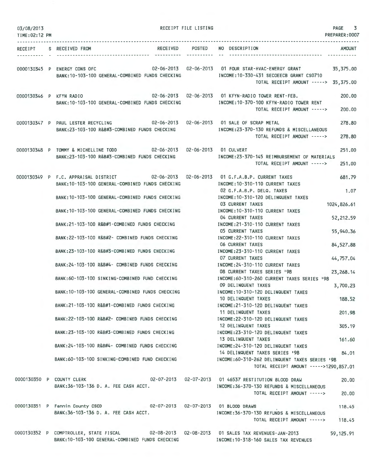| 03/08/2013<br>TIME: 02:12 PM |                                                                                                                                                | RECEIPT FILE LISTING | -------------------------------------                                                                                       | PAGE<br>3<br>PREPARER: 0007 |
|------------------------------|------------------------------------------------------------------------------------------------------------------------------------------------|----------------------|-----------------------------------------------------------------------------------------------------------------------------|-----------------------------|
|                              | RECEIPT S RECEIVED FROM                                                                                                                        | ----------           | RECEIVED POSTED NO DESCRIPTION                                                                                              | <b>AMOUNT</b>               |
|                              | 0000130345 P ENERGY CONS OFC 02-06-2013 02-06-2013 01 FOUR STAR-HVAC-ENERGY GRANT<br>BANK:10-103-100 GENERAL-COMBINED FUNDS CHECKING           |                      | INCOME: 10-330-431 SECOEECB GRANT CS0710<br>TOTAL RECEIPT AMOUNT -----> 35,375.00                                           | 35,375.00                   |
| 0000130346 P KFYN RADIO      | 02-06-2013 02-06-2013 01 KFYN-RADIO TOWER RENT-FEB.<br>BANK: 10-103-100 GENERAL-COMBINED FUNDS CHECKING                                        |                      | INCOME:10-370-100 KFYN-RADIO TOWER RENT<br>TOTAL RECEIPT AMOUNT ----->                                                      | 200,00<br>200.00            |
|                              | 0000130347 P PAUL LESTER RECYCLING<br>BANK:23-103-100 R&B#3-COMBINED FUNDS CHECKING                                                            |                      | 02-06-2013  02-06-2013  01 SALE OF SCRAP METAL<br>INCOME: 23-370-130 REFUNDS & MISCELLANEOUS<br>TOTAL RECEIPT AMOUNT -----> | 278.80<br>278,80            |
|                              | 0000130348 P TOMMY & MICHELLINE TODD 02-06-2013 02-06-2013 01 CULVERT<br>BANK:23-103-100 R&B#3-COMBINED FUNDS CHECKING                         |                      | INCOME: 23-370-145 REIMBURSEMENT OF MATERIALS<br>TOTAL RECEIPT AMOUNT ----->                                                | 251.00<br>251.00            |
|                              | 0000130349 P F.C. APPRAISAL DISTRICT 02-06-2013 02-06-2013 01 G.F.A.B.P. CURRENT TAXES<br>BANK:10-103-100 GENERAL-COMBINED FUNDS CHECKING      |                      | INCOME: 10-310-110 CURRENT TAXES<br>02 G.F.A.B.P. DELQ. TAXES                                                               | 681.79<br>1.07              |
|                              | BANK: 10-103-100 GENERAL-COMBINED FUNDS CHECKING                                                                                               |                      | INCOME: 10-310-120 DELINQUENT TAXES<br>03 CURRENT TAXES                                                                     | 1024,826.61                 |
|                              | BANK: 10-103-100 GENERAL-COMBINED FUNDS CHECKING                                                                                               |                      | INCOME: 10-310-110 CURRENT TAXES<br>04 CURRENT TAXES                                                                        | 52,212.59                   |
|                              | BANK:21-103-100 R&B#1-COMBINED FUNDS CHECKING                                                                                                  |                      | INCOME: 21-310-110 CURRENT TAXES<br>05 CURRENT TAXES                                                                        | 55,940.36                   |
|                              | BANK:22-103-100 R&B#2- COMBINED FUNDS CHECKING                                                                                                 |                      | INCOME: 22-310-110 CURRENT TAXES<br>06 CURRENT TAXES                                                                        | 84, 527.88                  |
|                              | BANK:23-103-100 R&B#3-COMBINED FUNDS CHECKING                                                                                                  |                      | INCOME: 23-310-110 CURRENT TAXES<br>07 CURRENT TAXES                                                                        | 44,757.04                   |
|                              | BANK:24-103-100 R&B#4- COMBINED FUNDS CHECKING                                                                                                 |                      | INCOME: 24-310-110 CURRENT TAXES<br>08 CURRENT TAXES SERIES '98                                                             | 23, 268.14                  |
|                              | BANK:60-103-100 SINKING-COMBINED FUND CHECKING                                                                                                 |                      | INCOME:60-310-260 CURRENT TAXES SERIES '98<br>09 DELINQUENT TAXES                                                           | 3,700.23                    |
|                              | BANK: 10-103-100 GENERAL-COMBINED FUNDS CHECKING<br>BANK:21-103-100 R&B#1-COMBINED FUNDS CHECKING                                              |                      | INCOME: 10-310-120 DELINQUENT TAXES<br>10 DELINQUENT TAXES<br>INCOME:21-310-120 DELINQUENT TAXES                            | 188.52                      |
|                              | BANK:22-103-100 R&B#2- COMBINED FUNDS CHECKING                                                                                                 |                      | 11 DELINQUENT TAXES<br>INCOME: 22-310-120 DELINQUENT TAXES                                                                  | 201.98                      |
|                              | BANK:23-103-100 R&B#3-COMBINED FUNDS CHECKING                                                                                                  |                      | 12 DELINQUENT TAXES<br>INCOME: 23-310-120 DELINQUENT TAXES                                                                  | 305.19                      |
|                              | BANK:24-103-100 R&B#4- COMBINED FUNDS CHECKING                                                                                                 |                      | 13 DELINQUENT TAXES<br>INCOME: 24-310-120 DELINQUENT TAXES                                                                  | 161.60                      |
|                              | BANK:60–103–100 SINKING–COMBINED FUND CHECKING                                                                                                 |                      | 14 DELINQUENT TAXES SERIES '98<br>INCOME:60-310-262 DELINQUENT TAXES SERIES '98<br>TOTAL RECEIPT AMOUNT ----->1290,857.01   | 84,01                       |
|                              | 0000130350 P COUNTY CLERK 02-07-2013 02-07-2013 01 46537 RESTITUTION BLOOD DRAW<br>BANK:36-103-136 D. A. FEE CASH ACCT.                        |                      | INCOME: 36-370-130 REFUNDS & MISCELLANEOUS<br>TOTAL RECEIPT AMOUNT ----->                                                   | 20,00<br>20.00              |
|                              | 0000130351 P Fannin County CSCD 02-07-2013 02-07-2013 01 BLOOD DRAWS                                                                           |                      |                                                                                                                             | 118.45                      |
|                              | BANK: 36-103-136 D. A. FEE CASH ACCT.                                                                                                          |                      | INCOME:36-370-130 REFUNDS & MISCELLANEOUS<br>TOTAL RECEIPT AMOUNT ----->                                                    | 118.45                      |
|                              | 0000130352 P COMPTROLLER, STATE FISCAL 02-08-2013 02-08-2013 01 SALES TAX REVENUES-JAN-2013<br>BANK:10-103-100 GENERAL-COMBINED FUNDS CHECKING |                      | INCOME: 10-318-160 SALES TAX REVENUES                                                                                       | 59, 125.91                  |
|                              |                                                                                                                                                |                      |                                                                                                                             |                             |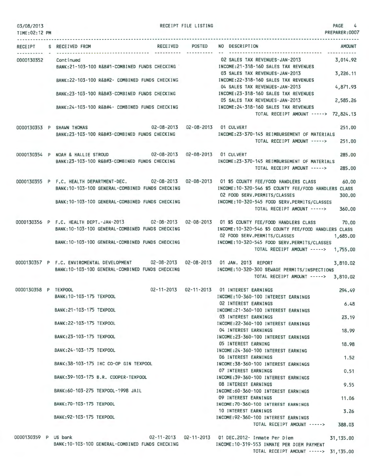| 03/08/2013<br>TIME:02:12 PM |                           |                                       |                                                                                                                     | RECEIPT FILE LISTING |                                                                                                                                                                                               | <b>PAGE</b><br>4<br>PREPARER: 0007 |
|-----------------------------|---------------------------|---------------------------------------|---------------------------------------------------------------------------------------------------------------------|----------------------|-----------------------------------------------------------------------------------------------------------------------------------------------------------------------------------------------|------------------------------------|
|                             | RECEIPT S RECEIVED FROM   |                                       |                                                                                                                     | RECEIVED POSTED      | NO DESCRIPTION                                                                                                                                                                                | <b>AMOUNT</b>                      |
|                             |                           |                                       |                                                                                                                     |                      | ----------------------------------                                                                                                                                                            |                                    |
| 0000130352                  | Continued                 |                                       | BANK:21-103-100 R&B#1-COMBINED FUNDS CHECKING                                                                       |                      | 02 SALES TAX REVENUES-JAN-2013<br>INCOME:21-318-160 SALES TAX REVENUES<br>03 SALES TAX REVENUES-JAN-2013                                                                                      | 3,014.92<br>3,226.11               |
|                             |                           |                                       | BANK:22-103-100 R&B#2- COMBINED FUNDS CHECKING                                                                      |                      | INCOME:22-318-160 SALES TAX REVENUES<br>04 SALES TAX REVENUES-JAN-2013                                                                                                                        | 4,871.93                           |
|                             |                           |                                       | BANK:23-103-100 R&B#3-COMBINED FUNDS CHECKING                                                                       |                      | INCOME:23-318-160 SALES TAX REVENUES<br>05 SALES TAX REVENUES-JAN-2013                                                                                                                        | 2,585.26                           |
|                             |                           |                                       | BANK: 24-103-100 R&B#4- COMBINED FUNDS CHECKING                                                                     |                      | INCOME: 24-318-160 SALES TAX REVENUES<br>TOTAL RECEIPT AMOUNT -----> 72,824.13                                                                                                                |                                    |
|                             |                           |                                       | 02-08-2013  02-08-2013  01 CULVERT                                                                                  |                      |                                                                                                                                                                                               |                                    |
|                             | 0000130353 P SHAWN THOMAS |                                       | BANK:23-103-100 R&B#3-COMBINED FUNDS CHECKING                                                                       |                      | INCOME:23-370-145 REIMBURSEMENT OF MATERIALS<br>TOTAL RECEIPT AMOUNT ----->                                                                                                                   | 251.00<br>251.00                   |
|                             |                           |                                       | 0000130354 P NOAH & HALLIE STROUD 02-08-2013 02-08-2013 01 CULVERT<br>BANK:23-103-100 R&B#3-COMBINED FUNDS CHECKING |                      | INCOME:23-370-145 REIMBURSEMENT OF MATERIALS<br>TOTAL RECEIPT AMOUNT ----->                                                                                                                   | 285,00<br>285,00                   |
|                             |                           |                                       | BANK: 10-103-100 GENERAL-COMBINED FUNDS CHECKING                                                                    |                      | 0000130355 P F.C. HEALTH DEPARTMENT-DEC. 02-08-2013 02-08-2013 01 \$5 COUNTY FEE/FOOD HANDLERS CLASS<br>INCOME: 10-320-546 \$5 COUNTY FEE/FOOD HANDLERS CLASS<br>02 FOOD SERV.PERMITS/CLASSES | 60,00<br>300.00                    |
|                             |                           |                                       |                                                                                                                     |                      | BANK:10-103-100 GENERAL-COMBINED FUNDS CHECKING MODE:10-320-545 FOOD SERV.PERMITS/CLASSES<br>TOTAL RECEIPT AMOUNT ----->                                                                      | <b>CONTRACTOR</b><br>360,00        |
|                             |                           |                                       | BANK: 10-103-100 GENERAL-COMBINED FUNDS CHECKING                                                                    |                      | 0000130356 P F.C. HEALTH DEPT.-JAN-2013 02-08-2013 02-08-2013 01 \$5 COUNTY FEE/FOOD HANDLERS CLASS<br>INCOME:10-320-546 \$5 COUNTY FEE/FOOD HANDLERS CLASS<br>02 FOOD SERV.PERMITS/CLASSES   | 70.00<br>1,685.00                  |
|                             |                           |                                       |                                                                                                                     |                      | BANK:10-103-100 GENERAL-COMBINED FUNDS CHECKING METAL INCOME:10-320-545 FOOD SERV.PERMITS/CLASSES<br>TOTAL RECEIPT AMOUNT -----> 1,755.00                                                     |                                    |
|                             |                           |                                       | BANK: 10-103-100 GENERAL-COMBINED FUNDS CHECKING                                                                    |                      | 0000130357 P F.C. ENVIROMENTAL DEVELOPMENT 02-08-2013 02-08-2013 01 JAN. 2013 REPORT<br>INCOME:10-320-300 SEWAGE PERMITS/INSPECTIONS<br>TOTAL RECEIPT AMOUNT -----> 3,810.02                  | 3,810.02                           |
| 0000130358 P TEXPOOL        | BANK: 10-103-175 TEXPOOL  |                                       |                                                                                                                     |                      | 02-11-2013  02-11-2013  01 INTEREST EARNINGS<br>INCOME: 10-360-100 INTEREST EARNINGS                                                                                                          | 294.49                             |
|                             | BANK: 21-103-175 TEXPOOL  |                                       |                                                                                                                     |                      | 02 INTEREST EARNINGS<br>INCOME:21-360-100 INTEREST EARNINGS                                                                                                                                   | 6.48                               |
|                             | BANK: 22-103-175 TEXPOOL  |                                       |                                                                                                                     |                      | 03 INTEREST EARNINGS<br>INCOME: 22-360-100 INTEREST EARNINGS                                                                                                                                  | 23.19                              |
|                             | BANK: 23-103-175 TEXPOOL  |                                       |                                                                                                                     |                      | 04 INTEREST EARNINGS<br>INCOME: 23-360-100 INTEREST EARNINGS<br>05 INTEREST EARNING                                                                                                           | 18.99<br>18.98                     |
|                             | BANK: 24-103-175 TEXPOOL  |                                       |                                                                                                                     |                      | INCOME: 24-360-100 INTEREST EARNING<br>06 INTEREST EARNINGS                                                                                                                                   | 1.52                               |
|                             |                           | BANK:38-103-175 IHC CO-OP GIN TEXPOOL |                                                                                                                     |                      | INCOME: 38-360-100 INTEREST EARNINGS<br>07 INTEREST EARNINGS                                                                                                                                  | 0.51                               |
|                             |                           | BANK: 39-103-175 B.R. COOPER-TEXPOOL  |                                                                                                                     |                      | INCOME: 39-360-100 INTEREST EARNINGS<br>08 INTEREST EARNINGS                                                                                                                                  | 9.55                               |
|                             |                           | BANK:60-103-275 TEXPOOL-1998 JAIL     |                                                                                                                     |                      | INCOME:60-360-100 INTEREST EARNINGS<br>09 INTEREST EARNINGS                                                                                                                                   | 11.06                              |
|                             | BANK: 70-103-175 TEXPOOL  |                                       |                                                                                                                     |                      | INCOME: 70-360-100 INTEREST EARNINGS<br>10 INTEREST EARNINGS                                                                                                                                  | 3.26                               |
|                             | BANK: 92-103-175 TEXPOOL  |                                       |                                                                                                                     |                      | INCOME: 92-360-100 INTEREST EARNINGS                                                                                                                                                          |                                    |

0000130359 P US bank 02-11-2013 02-11-2013 02-11-2013 01 DEC.2012- Inmate Per Diem 31,135.00<br>BANK:10-103-100 GENERAL-COMBINED FUNDS CHECKING INCOME:10-319-553 INMATE PER DIEM PAYMENT BANK:10-103-100 GENERAL-COMBINED FUNDS CHECKING TOTAL RECEIPT AMOUNT -----> 31,135.00

TOTAL RECEIPT AMOUNT -----> 388.03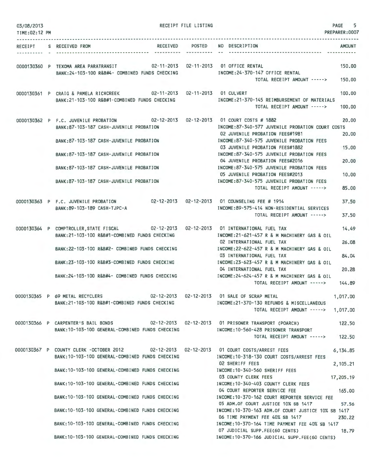| 03/08/2013<br>TIME: 02:12 PM |                                                                                                                                                                                                                                                                                                                                                                                                               | RECEIPT FILE LISTING | PAGE<br>PREPARER: 0007                                                                                                                                                                                                                                                                                                                                                                                                                                                                                                                             | 5                                         |
|------------------------------|---------------------------------------------------------------------------------------------------------------------------------------------------------------------------------------------------------------------------------------------------------------------------------------------------------------------------------------------------------------------------------------------------------------|----------------------|----------------------------------------------------------------------------------------------------------------------------------------------------------------------------------------------------------------------------------------------------------------------------------------------------------------------------------------------------------------------------------------------------------------------------------------------------------------------------------------------------------------------------------------------------|-------------------------------------------|
|                              | RECEIPT S RECEIVED FROM                                                                                                                                                                                                                                                                                                                                                                                       |                      | RECEIVED POSTED NO DESCRIPTION<br><b>AMOUNT</b>                                                                                                                                                                                                                                                                                                                                                                                                                                                                                                    |                                           |
|                              | 0000130360 P TEXOMA AREA PARATRANSIT 02-11-2013 02-11-2013 01 OFFICE RENTAL<br>BANK:24-103-100 R&B#4- COMBINED FUNDS CHECKING                                                                                                                                                                                                                                                                                 |                      | 150.00<br>INCOME: 24-370-147 OFFICE RENTAL<br>TOTAL RECEIPT AMOUNT -----><br>150.00                                                                                                                                                                                                                                                                                                                                                                                                                                                                |                                           |
|                              | 0000130361 P CRAIG & PAMELA RICHCREEK 02-11-2013 02-11-2013 01 CULVERT<br>BANK: 21-103-100 R&B#1-COMBINED FUNDS CHECKING                                                                                                                                                                                                                                                                                      |                      | 100,00<br>INCOME: 21-370-145 REIMBURSEMENT OF MATERIALS<br>TOTAL RECEIPT AMOUNT -----><br>100,00                                                                                                                                                                                                                                                                                                                                                                                                                                                   |                                           |
|                              | 0000130362 P F.C. JUVENILE PROBATION 02-12-2013 02-12-2013 01 COURT COSTS # 1882<br>BANK: 87-103-187 CASH-JUVENILE PROBATION<br>BANK: 87-103-187 CASH-JUVENILE PROBATION<br>BANK: 87-103-187 CASH-JUVENILE PROBATION<br>BANK: 87-103-187 CASH-JUVENILE PROBATION<br>BANK: 87-103-187 CASH-JUVENILE PROBATION                                                                                                  |                      | INCOME:87-340-577 JUVENILE PROBATION COURT COSTS<br>02 JUVENILE PROBATION FEES#1981<br>INCOME:87-340-575 JUVENILE PROBATION FEES<br>03 JUVENILE PROBATION FEES#1882<br>15,00<br>INCOME:87-340-575 JUVENILE PROBATION FEES<br>04 JUVENILE PROBATION FEES#2016<br>INCOME:87-340-575 JUVENILE PROBATION FEES<br>05 JUVENILE PROBATION FEES#2013<br>INCOME:87-340-575 JUVENILE PROBATION FEES<br>TOTAL RECEIPT AMOUNT ----->                                                                                                                           | 20.00<br>20,00<br>20,00<br>10,00<br>85.00 |
|                              | 0000130363 P F.C. JUVENILE PROBATION 02-12-2013 02-12-2013<br>BANK:89-103-189 CASH-TJPC-A                                                                                                                                                                                                                                                                                                                     |                      | 01 COUNSELING FEE # 1914<br>INCOME:89-575-414 NON-RESIDENTIAL SERVICES<br>TOTAL RECEIPT AMOUNT -----><br>37.50                                                                                                                                                                                                                                                                                                                                                                                                                                     | 37.50                                     |
|                              | 0000130364 P COMPTROLLER, STATE FISCAL 02-12-2013 02-12-2013 01 INTERNATIONAL FUEL TAX<br>BANK: 21-103-100 R&B#1-COMBINED FUNDS CHECKING<br>BANK:22-103-100 R&B#2- COMBINED FUNDS CHECKING<br>BANK: 23-103-100 R&B#3-COMBINED FUNDS CHECKING<br>BANK:24-103-100 R&B#4- COMBINED FUNDS CHECKING                                                                                                                |                      | INCOME:21-621-457 R & M MACHINERY GAS & OIL<br>26,08<br>02 INTERNATIONAL FUEL TAX<br>INCOME: 22-622-457 R & M MACHINERY GAS & OIL<br>84.04<br>03 INTERNATIONAL FUEL TAX<br>INCOME: 23-623-457 R & M MACHINERY GAS & OIL<br>20,28<br>04 INTERNATIONAL FUEL TAX<br>INCOME:24-624-457 R & M MACHINERY GAS & OIL<br>144.89<br>TOTAL RECEIPT AMOUNT ----->                                                                                                                                                                                              | 14.49                                     |
|                              | 0000130365 P 69 METAL RECYCLERS<br>BANK:21-103-100 R&B#1-COMBINED FUNDS CHECKING                                                                                                                                                                                                                                                                                                                              |                      | 02-12-2013  02-12-2013  01 SALE OF SCRAP METAL<br>1,017.00<br>INCOME: 21-370-130 REFUNDS & MISCELLANEOUS<br>TOTAL RECEIPT AMOUNT -----> 1,017,00                                                                                                                                                                                                                                                                                                                                                                                                   |                                           |
|                              | 0000130366 P CARPENTER'S BAIL BONDS 02-12-2013 02-12-2013 01 PRISONER TRANSPORT (POARCH)<br>BANK:10-103-100 GENERAL-COMBINED FUNDS CHECKING                                                                                                                                                                                                                                                                   |                      | 122.50<br>INCOME:10-560-428 PRISONER TRANSPORT<br>TOTAL RECEIPT AMOUNT -----> 122.50                                                                                                                                                                                                                                                                                                                                                                                                                                                               |                                           |
|                              | 0000130367 P COUNTY CLERK -OCTOBER 2012 02-12-2013 02-12-2013 01 COURT COSTS/ARREST FEES<br>BANK: 10-103-100 GENERAL-COMBINED FUNDS CHECKING<br>BANK: 10-103-100 GENERAL-COMBINED FUNDS CHECKING<br>BANK:10-103-100 GENERAL-COMBINED FUNDS CHECKING<br>BANK:10-103-100 GENERAL-COMBINED FUNDS CHECKING<br>BANK:10-103-100 GENERAL-COMBINED FUNDS CHECKING<br>BANK: 10-103-100 GENERAL-COMBINED FUNDS CHECKING |                      | 6,134.85<br>INCOME: 10-318-130 COURT COSTS/ARREST FEES<br>02 SHERIFF FEES<br>2,105.21<br>INCOME: 10-340-560 SHERIFF FEES<br>03 COUNTY CLERK FEES<br>17,205.19<br>INCOME: 10-340-403 COUNTY CLERK FEES<br>04 COURT REPORTER SERVICE FEE<br>165.00<br>INCOME:10-370-162 COURT REPORTER SERVICE FEE<br>05 ADM.OF COURT JUSTICE 10% SB 1417<br>57.56<br>INCOME: 10-370-163 ADM.OF COURT JUSTICE 10% SB 1417<br>06 TIME PAYMENT FEE 40% SB 1417<br>230.22<br>INCOME: 10-370-164 TIME PAYMENT FEE 40% SB 1417<br>07 JUDICIAL SUPP.FEE(60 CENTS)<br>18.79 |                                           |
|                              | BANK: 10-103-100 GENERAL-COMBINED FUNDS CHECKING                                                                                                                                                                                                                                                                                                                                                              |                      | INCOME:10-370-166 JUDICIAL SUPP.FEE(60 CENTS)                                                                                                                                                                                                                                                                                                                                                                                                                                                                                                      |                                           |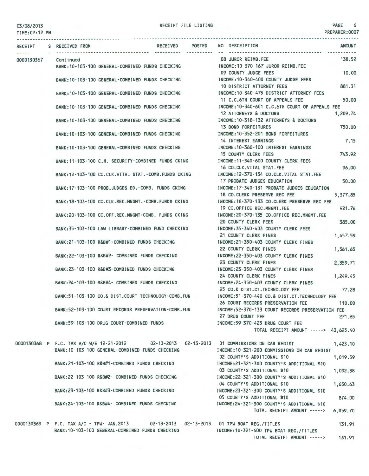TIME:02:12 PM

PREPARER:0007

| RECEIPT    | <b>POSTED</b><br><b>RECEIVED</b><br>S RECEIVED FROM                                         | NO DESCRIPTION<br><b>AMOUNT</b>                          |
|------------|---------------------------------------------------------------------------------------------|----------------------------------------------------------|
| 0000130367 | Cont inued                                                                                  | 08 JUROR REIMB.FEE<br>138.52                             |
|            | BANK: 10-103-100 GENERAL-COMBINED FUNDS CHECKING                                            | INCOME: 10-370-167 JUROR REIMB, FEE                      |
|            |                                                                                             | 10.00<br>09 COUNTY JUDGE FEES                            |
|            | BANK: 10-103-100 GENERAL-COMBINED FUNDS CHECKING                                            | INCOME:10-340-400 COUNTY JUDGE FEES                      |
|            |                                                                                             | 881.31<br>10 DISTRICT ATTORNEY FEES                      |
|            | BANK: 10-103-100 GENERAL-COMBINED FUNDS CHECKING                                            | INCOME: 10-340-475 DISTRICT ATTORNEY FEES                |
|            |                                                                                             | 11 C.C.6TH COURT OF APPEALS FEE<br>50.00                 |
|            | BANK: 10-103-100 GENERAL-COMBINED FUNDS CHECKING                                            | INCOME:10-340-601 C.C.6TH COURT OF APPEALS FEE           |
|            |                                                                                             | 12 ATTORNEYS & DOCTORS<br>1,209.74                       |
|            | BANK: 10-103-100 GENERAL-COMBINED FUNDS CHECKING                                            | INCOME: 10-318-132 ATTORNEYS & DOCTORS                   |
|            |                                                                                             | 13 BOND FORFEITURES<br>750.00                            |
|            | BANK: 10-103-100 GENERAL-COMBINED FUNDS CHECKING                                            | INCOME:10-352-201 BOND FORFEITURES                       |
|            |                                                                                             | 14 INTEREST EARNINGS<br>7.15                             |
|            | BANK: 10-103-100 GENERAL-COMBINED FUNDS CHECKING                                            | INCOME: 10-360-100 INTEREST EARNINGS                     |
|            |                                                                                             | 743.92<br><b>15 COUNTY CLERK FEES</b>                    |
|            | BANK: 11-103-100 C.H. SECURITY-COMBINED FUNDS CKING                                         | INCOME:11-340-600 COUNTY CLERK FEES                      |
|            |                                                                                             | 96.00<br>16 CO.CLK.VITAL STAT.FEE                        |
|            | BANK:12-103-100 CO.CLK.VITAL STAT.-COMB.FUNDS CKING                                         | INCOME: 12-370-134 CO.CLK.VITAL STAT.FEE                 |
|            |                                                                                             | 17 PROBATE JUDGES EDUCATION<br>50.00                     |
|            | BANK: 17-103-100 PROB.JUDGES ED.-COMB. FUNDS CKING                                          | INCOME: 17-340-131 PROBATE JUDGES EDUCATION              |
|            |                                                                                             | 18 CO.CLERK PRESERVE REC FEE<br>5,377.85                 |
|            | BANK: 18-103-100 CO.CLK.REC.MNGMT.-COMB.FUNDS CKING                                         | INCOME:18-370-133 CO.CLERK PRESERVE REC FEE              |
|            |                                                                                             | 19 CO.OFFICE REC.MNGMT.FEE<br>921.76                     |
|            | BANK:20-103-100 CO.OFF.REC.MNGMT-COMB. FUNDS CKING                                          | INCOME:20-370-135 CO.OFFICE REC.MNGMT.FEE                |
|            |                                                                                             | 20 COUNTY CLERK FEES<br>385.00                           |
|            | BANK: 35-103-100 LAW LIBRARY-COMBINED FUND CHECKING                                         | INCOME: 35-340-403 COUNTY CLERK FEES                     |
|            |                                                                                             | 21 COUNTY CLERK FINES<br>1,457.59                        |
|            | BANK:21-103-100 R&B#1-COMBINED FUNDS CHECKING                                               | INCOME: 21-350-403 COUNTY CLERK FINES                    |
|            |                                                                                             | 22 COUNTY CLERK FINES<br>1,561.65                        |
|            | BANK: 22-103-100 R&B#2- COMBINED FUNDS CHECKING                                             | INCOME: 22-350-403 COUNTY CLERK FINES                    |
|            |                                                                                             | 23 COUNTY CLERK FINES<br>2,359.71                        |
|            | BANK:23-103-100 R&B#3-COMBINED FUNDS CHECKING                                               | INCOME: 23-350-403 COUNTY CLERK FINES                    |
|            |                                                                                             | 24 COUNTY CLERK FINES<br>1,249.45                        |
|            | BANK:24-103-100 R&B#4- COMBINED FUNDS CHECKING                                              | INCOME:24-350-403 COUNTY CLERK FINES                     |
|            |                                                                                             | 25 CO.& DIST.CT.TECHNOLOGY FEE<br>77.28                  |
|            | BANK:51-103-100 CO.& DIST.COURT TECHNOLOGY-COMB.FUN                                         | INCOME:51-370-440 CO.& DIST.CT.TECHNOLOGY FEE            |
|            |                                                                                             | 26 COURT RECORDS PRESERVATION FEE<br>110.00              |
|            | BANK:52-103-100 COURT RECORDS PRESERVATION-COMB.FUN                                         | INCOME:52-370-133 COURT RECORDS PRESERVATION FEE         |
|            |                                                                                             | 27 DRUG COURT FEE<br>271.65                              |
|            | BANK:59-103-100 DRUG COURT-COMBINED FUNDS                                                   | INCOME:59-370-425 DRUG COURT FEE                         |
|            |                                                                                             | TOTAL RECEIPT AMOUNT -----> 43,625.40                    |
|            | 0000130368 P F.C. TAX A/C W/E 12-21-2012 02-13-2013 02-13-2013 01 COMMISSIONS ON CAR REGIST |                                                          |
|            | BALLY 40, 407, 400 OFUERAL OCURATUES FULLED OUTDIATED                                       | 1,423.10<br>THOOHE AD 704 000 DOUNTRATOUR ON ALL BERTARD |

|  | BANK: 10-103-100 GENERAL-COMBINED FUNDS CHECKING | INCOME:10-321-200 COMMISSIONS ON CAR REGIST |          |
|--|--------------------------------------------------|---------------------------------------------|----------|
|  |                                                  | 02 COUNTY'S ADDITIONAL \$10                 | 1.019.59 |
|  | BANK: 21-103-100 R&B#1-COMBINED FUNDS CHECKING   | INCOME:21-321-300 COUNTY'S ADDITIONAL \$10  |          |
|  |                                                  | 03 COUNTY'S ADDITIONAL \$10                 | 1,092.38 |
|  | BANK: 22-103-100 R&B#2- COMBINED FUNDS CHECKING  | INCOME: 22-321-300 COUNTY'S ADDITIONAL \$10 |          |
|  |                                                  | 04 COUNTY'S ADDITIONAL \$10                 | 1.650.63 |
|  | BANK: 23-103-100 R&B#3-COMBINED FUNDS CHECKING   | INCOME:23-321-300 COUNTY'S ADDITIONAL \$10  |          |
|  |                                                  | 05 COUNTY'S ADDITIONAL \$10                 | 874.00   |
|  | BANK:24-103-100 R&B#4- COMBINED FUNDS CHECKING   | INCOME: 24-321-300 COUNTY'S ADDITIONAL \$10 |          |
|  |                                                  | TOTAL RECEIPT AMOUNT ----->                 | 6,059.70 |
|  |                                                  |                                             |          |

0000130369 P F.C. TAX A/C - TPW- JAN.2013 02-13-2013 02-13-2013 01 TPW BOAT REG./TITLES BANK:10-103-100 GENERAL-COMBINED FUNDS CHECKING INCOME:10-321-400 TPW BOAT REG./TITLES

TOTAL RECEIPT AMOUNT -----> 131.91

131.91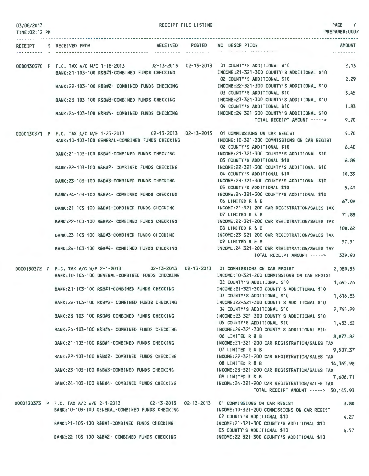| 03/08/2013<br>TIME: 02:12 PM |                                                                                                                                                | RECEIPT FILE LISTING | PAGE 7<br>PREPARER: 0007                                                                                                  |
|------------------------------|------------------------------------------------------------------------------------------------------------------------------------------------|----------------------|---------------------------------------------------------------------------------------------------------------------------|
|                              | RECEIPT S RECEIVED FROM                                                                                                                        | RECEIVED POSTED      | NO DESCRIPTION<br><b>AMOUNT</b>                                                                                           |
|                              | 0000130370 P F.C. TAX A/C W/E 1-18-2013 02-13-2013 02-13-2013 01 COUNTY'S ADDITIONAL \$10<br>BANK: 21-103-100 R&B#1-COMBINED FUNDS CHECKING    |                      | 2,13<br>INCOME: 21-321-300 COUNTY'S ADDITIONAL \$10                                                                       |
|                              | BANK:22-103-100 R&B#2- COMBINED FUNDS CHECKING                                                                                                 |                      | 2.29<br>02 COUNTY'S ADDITIONAL \$10<br>INCOME: 22-321-300 COUNTY'S ADDITIONAL \$10                                        |
|                              | BANK:23~103-100 R&B#3-COMBINED FUNDS CHECKING                                                                                                  |                      | 03 COUNTY'S ADDITIONAL \$10<br>3.45<br>INCOME:23-321-300 COUNTY'S ADDITIONAL \$10<br>04 COUNTY'S ADDITIONAL \$10<br>1.83  |
|                              | BANK:24-103-100 R&B#4- COMBINED FUNDS CHECKING                                                                                                 |                      | INCOME: 24-321-300 COUNTY'S ADDITIONAL \$10<br>9.70<br>TOTAL RECEIPT AMOUNT ----->                                        |
|                              | 0000130371 P F.C. TAX A/C W/E 1-25-2013 02-13-2013 02-13-2013 01 COMMISSIONS ON CAR REGIST<br>BANK: 10-103-100 GENERAL-COMBINED FUNDS CHECKING |                      | 5.70<br>INCOME:10-321-200 COMMISSIONS ON CAR REGIST                                                                       |
|                              | BANK: 21-103-100 R&B#1-COMBINED FUNDS CHECKING                                                                                                 |                      | 02 COUNTY'S ADDITIONAL \$10<br>6.40<br>INCOME: 21-321-300 COUNTY'S ADDITIONAL \$10<br>03 COUNTY'S ADDITIONAL \$10<br>6.86 |
|                              | BANK: 22-103-100 R&B#2- COMBINED FUNDS CHECKING                                                                                                |                      | INCOME: 22-321-300 COUNTY'S ADDITIONAL \$10<br>04 COUNTY'S ADDITIONAL \$10<br>10.35                                       |
|                              | BANK:23-103-100 R&B#3-COMBINED FUNDS CHECKING                                                                                                  |                      | INCOME:23-321-300 COUNTY'S ADDITIONAL \$10<br>05 COUNTY'S ADDITIONAL \$10<br>5.49                                         |
|                              | BANK: 24-103-100 R&B#4- COMBINED FUNDS CHECKING                                                                                                |                      | INCOME: 24-321-300 COUNTY'S ADDITIONAL \$10<br>06 LIMITED R & B<br>67.09                                                  |
|                              | BANK:21-103-100 R&B#1-COMBINED FUNDS CHECKING                                                                                                  |                      | INCOME:21-321-200 CAR REGISTRATION/SALES TAX<br>07 LIMITED R & B<br>71.88                                                 |
|                              | BANK: 22-103-100 R&B#2- COMBINED FUNDS CHECKING                                                                                                |                      | INCOME: 22-321-200 CAR REGISTRATION/SALES TAX<br>08 LIMITED R & B<br>108.62                                               |
|                              | BANK: 23-103-100 R&B#3-COMBINED FUNDS CHECKING                                                                                                 |                      | INCOME: 23-321-200 CAR REGISTRATION/SALES TAX<br>09 LIMITED R & B<br>57.51                                                |
|                              | BANK: 24-103-100 R&B#4- COMBINED FUNDS CHECKING                                                                                                |                      | INCOME: 24-321-200 CAR REGISTRATION/SALES TAX<br>TOTAL RECEIPT AMOUNT -----><br>339.90                                    |
|                              | 0000130372 P F.C. TAX A/C W/E 2-1-2013 02-13-2013 02-13-2013 01 COMMISSIONS ON CAR REGIST                                                      |                      | 2,080.55                                                                                                                  |
|                              | BANK: 10-103-100 GENERAL-COMBINED FUNDS CHECKING                                                                                               |                      | INCOME: 10-321-200 COMMISSIONS ON CAR REGIST<br>02 COUNTY'S ADDITIONAL \$10<br>1,695.76                                   |
|                              | BANK:21-103-100 R&B#1-COMBINED FUNDS CHECKING                                                                                                  |                      | INCOME:21-321-300 COUNTY'S ADDITIONAL \$10<br>1,816.83<br>03 COUNTY'S ADDITIONAL \$10                                     |
|                              | BANK:22-103-100 R&B#2- COMBINED FUNDS CHECKING                                                                                                 |                      | INCOME:22-321-300 COUNTY'S ADDITIONAL \$10<br>04 COUNTY'S ADDITIONAL \$10<br>2,745.29                                     |
|                              | BANK:23-103-100 R&B#3-COMBINED FUNDS CHECKING                                                                                                  |                      | INCOME: 23-321-300 COUNTY'S ADDITIONAL \$10<br>05 COUNTY'S ADDITIONAL \$10<br>1,453.62                                    |
|                              | BANK:24-103-100 R&B#4- COMBINED FUNDS CHECKING                                                                                                 |                      | INCOME:24-321-300 COUNTY'S ADDITIONAL \$10<br>06 LIMITED R & B<br>8,873.82                                                |
|                              | BANK:21-103-100 R&B#1-COMBINED FUNDS CHECKING                                                                                                  |                      | INCOME: 21-321-200 CAR REGISTRATION/SALES TAX<br>07 LIMITED R & B<br>9,507.37                                             |

BANK:22-1D3-1DD R&B#2- COMBINED FUNDS CHECKING BANK:23-103-100 R&B#3 -COMBINED FUNDS CHECKING BANK:24-103-100 R&B#4- COMBINED FUNDS CHECKING INCOME:22-321 -200 CAR REGISTRATION/SALES TAX 08 LIMITED R & B 14,365.98 INCOME:23-321 - 200 CAR REGISTRATION/SALES TAX 09 LIMITED R & B 7,606.71 INCOME:24-321-200 CAR REGISTRATION/SALES TAX TOTAL RECEIPT AMOUNT-----> 50,145.93

0000130373 P F.C. TAX A/C W/E 2-1-2013 BANK : 1D-1D3-100 GENERAL-COMBINED FUNDS CHECKING BANK:21-103-100 R&B#1-COMBINED FUNDS CHECKING BANK:22-103-100 R&B#2- COMBINED FUNDS CHECKING 02-13-2013 02-13-2013 01 COMMISSIONS ON CAR REGIST INCOME:10-321 -200 COMMISSIONS ON CAR REGIST 02 COUNTY'S ADDITIONAL \$10 INCOME:21-321-300 COUNTY'S ADDITIONAL \$10 03 COUNTY'S ADDITIONAL \$10 INCOME:22-321-300 COUNTY'S ADDITIONAL \$10 3.80 4.27 4.57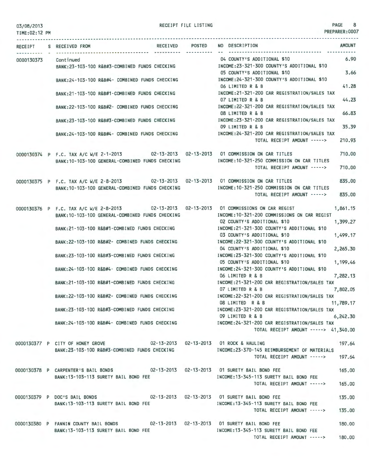RECEIPT FILE LISTING 8

|  | RECEIVED POSTED<br>RECEIPT S RECEIVED FROM                                                                                                    | <b>AMOUNT</b><br>NO DESCRIPTION                                                                    |
|--|-----------------------------------------------------------------------------------------------------------------------------------------------|----------------------------------------------------------------------------------------------------|
|  | 0000130373 Continued<br>BANK:23-103-100 R&B#3-COMBINED FUNDS CHECKING                                                                         | 6.90<br>04 COUNTY'S ADDITIONAL \$10<br>INCOME:23-321-300 COUNTY'S ADDITIONAL \$10                  |
|  | BANK:24-103-100 R&B#4- COMBINED FUNDS CHECKING                                                                                                | 3.66<br>05 COUNTY'S ADDITIONAL \$10<br>INCOME:24-321-300 COUNTY'S ADDITIONAL \$10                  |
|  | BANK:21-103-100 R&B#1-COMBINED FUNDS CHECKING                                                                                                 | 41.28<br>06 LIMITED R & B<br>INCOME: 21-321-200 CAR REGISTRATION/SALES TAX                         |
|  | BANK:22-103-100 R&B#2- COMBINED FUNDS CHECKING                                                                                                | 44.23<br>07 LIMITED R & B<br>INCOME:22-321-200 CAR REGISTRATION/SALES TAX                          |
|  | BANK:23-103-100 R&B#3-COMBINED FUNDS CHECKING                                                                                                 | 66.83<br>08 LIMITED R & B<br>INCOME: 23-321-200 CAR REGISTRATION/SALES TAX                         |
|  | BANK:24-103-100 R&B#4- COMBINED FUNDS CHECKING                                                                                                | 35.39<br>09 LIMITED R & B<br>INCOME: 24-321-200 CAR REGISTRATION/SALES TAX                         |
|  |                                                                                                                                               | 210.93<br>TOTAL RECEIPT AMOUNT ----->                                                              |
|  | 0000130374 P F.C. TAX A/C W/E 2-1-2013 02-13-2013 02-13-2013 01 COMMISSION ON CAR TITLES<br>BANK: 10-103-100 GENERAL-COMBINED FUNDS CHECKING  | 710,00<br>INCOME: 10-321-250 COMMISSION ON CAR TITLES                                              |
|  |                                                                                                                                               | 710,00<br>TOTAL RECEIPT AMOUNT ----->                                                              |
|  | 0000130375 P F.C. TAX A/C W/E 2-8-2013 02-13-2013 02-13-2013 01 COMMISSION ON CAR TITLES<br>BANK:10-103-100 GENERAL-COMBINED FUNDS CHECKING   | 835.00<br>INCOME: 10-321-250 COMMISSION ON CAR TITLES<br>TOTAL RECEIPT AMOUNT -----><br>835,00     |
|  |                                                                                                                                               |                                                                                                    |
|  | 0000130376 P F.C. TAX A/C W/E 2-8-2013 02-13-2013 02-13-2013 01 COMMISSIONS ON CAR REGIST<br>BANK: 10-103-100 GENERAL-COMBINED FUNDS CHECKING | 1,861.15<br>INCOME:10-321-200 COMMISSIONS ON CAR REGIST<br>02 COUNTY'S ADDITIONAL \$10<br>1,399.27 |
|  | BANK:21-103-100 R&B#1-COMBINED FUNDS CHECKING                                                                                                 | INCOME:21-321-300 COUNTY'S ADDITIONAL \$10<br>03 COUNTY'S ADDITIONAL \$10<br>1,499.17              |
|  | BANK:22-103-100 R&B#2- COMBINED FUNDS CHECKING                                                                                                | INCOME: 22-321-300 COUNTY'S ADDITIONAL \$10<br>04 COUNTY'S ADDITIONAL \$10<br>2,265.30             |
|  | BANK:23-103-100 R&B#3-COMBINED FUNDS CHECKING                                                                                                 | INCOME: 23-321-300 COUNTY'S ADDITIONAL \$10<br>1,199.46<br>05 COUNTY'S ADDITIONAL \$10             |
|  | BANK:24-103-100 R&B#4- COMBINED FUNDS CHECKING                                                                                                | INCOME:24-321-300 COUNTY'S ADDITIONAL \$10<br>06 LIMITED R & B<br>7,282.13                         |
|  | BANK:21-103-100 R&B#1-COMBINED FUNDS CHECKING                                                                                                 | INCOME:21-321-200 CAR REGISTRATION/SALES TAX<br>07 LIMITED R & B<br>7,802.05                       |
|  | BANK: 22-103-100 R&B#2- COMBINED FUNDS CHECKING                                                                                               | INCOME:22-321-200 CAR REGISTRATION/SALES TAX<br>08 LIMITED R & B<br>11,789.17                      |
|  | BANK:23-103-100 R&B#3-COMBINED FUNDS CHECKING                                                                                                 | INCOME:23-321-200 CAR REGISTRATION/SALES TAX<br>09 LIMITED R & B<br>6,242.30                       |
|  | BANK:24-103-100 R&B#4- COMBINED FUNDS CHECKING                                                                                                | INCOME: 24-321-200 CAR REGISTRATION/SALES TAX<br>TOTAL RECEIPT AMOUNT -----> 41,340.00             |
|  | 0000130377 P CITY OF HONEY GROVE 02-13-2013 02-13-2013 01 ROCK & HAULING<br>BANK:23-103-100 R&B#3-COMBINED FUNDS CHECKING                     | 197.64<br>INCOME: 23-370-145 REIMBURSEMENT OF MATERIALS                                            |
|  |                                                                                                                                               | TOTAL RECEIPT AMOUNT -----> 197.64                                                                 |
|  | 0000130378 P CARPENTER'S BAIL BONDS 02-13-2013 02-13-2013 01 SURETY BAIL BOND FEE<br>BANK: 13-103-113 SURETY BAIL BOND FEE                    | 165.00<br>INCOME:13-345-113 SURETY BAIL BOND FEE                                                   |
|  |                                                                                                                                               | TOTAL RECEIPT AMOUNT -----><br>165.00                                                              |
|  | 0000130379 P DOC'S BAIL BONDS 02-13-2013 02-13-2013 01 SURETY BAIL BOND FEE<br>BANK: 13-103-113 SURETY BAIL BOND FEE                          | 135.00<br>INCOME: 13-345-113 SURETY BAIL BOND FEE                                                  |
|  |                                                                                                                                               | 135.00<br>TOTAL RECEIPT AMOUNT ----->                                                              |
|  | 0000130380 P FANNIN COUNTY BAIL BONDS 02-13-2013 02-13-2013 01 SURETY BAIL BOND FEE<br>BANK:13-103-113 SURETY BAIL BOND FEE                   | 180.00<br>INCOME: 13-345-113 SURETY BAIL BOND FEE                                                  |
|  |                                                                                                                                               | 180,00<br>TOTAL RECEIPT AMOUNT ----->                                                              |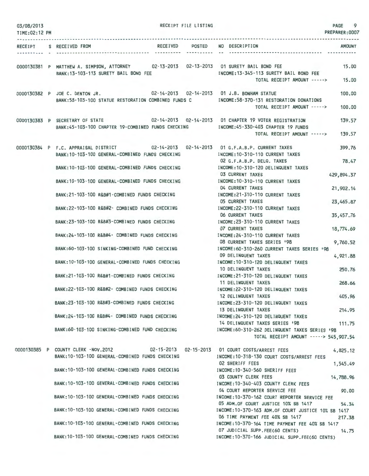| 03/08/2013<br>TIME: 02:12 PM |                                                                                                                                              | RECEIPT FILE LISTING | PREPARER: 0007                                                                            | PAGE 9        |
|------------------------------|----------------------------------------------------------------------------------------------------------------------------------------------|----------------------|-------------------------------------------------------------------------------------------|---------------|
|                              |                                                                                                                                              |                      |                                                                                           |               |
|                              | RECEIPT S RECEIVED FROM                                                                                                                      |                      | RECEIVED POSTED NO DESCRIPTION                                                            | <b>AMOUNT</b> |
|                              | 0000130381 P MATTHEW A. SIMPSON, ATTORNEY 02-13-2013 02-13-2013 01 SURETY BAIL BOND FEE<br>BANK: 13-103-113 SURETY BAIL BOND FEE             |                      | INCOME: 13-345-113 SURETY BAIL BOND FEE                                                   | 15.00         |
|                              |                                                                                                                                              |                      | TOTAL RECEIPT AMOUNT ----->                                                               | 15.00         |
|                              | 0000130382 P JOE C. DENTON JR.<br>BANK:58-103-100 STATUE RESTORATION COMBINED FUNDS C                                                        |                      | 02-14-2013  02-14-2013  01 J.B. BONHAM STATUE<br>INCOME: 58-370-131 RESTORATION DONATIONS | 100,00        |
|                              |                                                                                                                                              |                      | TOTAL RECEIPT AMOUNT ----->                                                               | 100.00        |
|                              | 0000130383 P SECRETARY OF STATE 02-14-2013 02-14-2013 01 CHAPTER 19 VOTER REGISTRATION<br>BANK:45-103-100 CHAPTER 19-COMBINED FUNDS CHECKING |                      | INCOME: 45-330-403 CHAPTER 19 FUNDS                                                       | 139.57        |
|                              |                                                                                                                                              |                      | TOTAL RECEIPT AMOUNT ----->                                                               | 139.57        |
|                              | 0000130384 P F.C. APPRAISAL DISTRICT 02-14-2013 02-14-2013 01 G.F.A.B.P. CURRENT TAXES<br>BANK: 10-103-100 GENERAL-COMBINED FUNDS CHECKING   |                      | INCOME: 10-310-110 CURRENT TAXES                                                          | 399.76        |
|                              | BANK: 10-103-100 GENERAL-COMBINED FUNDS CHECKING                                                                                             |                      | 02 G.F.A.B.P. DELQ. TAXES<br>INCOME: 10-310-120 DELINQUENT TAXES                          | 78.47         |
|                              | BANK:10-103-100 GENERAL-COMBINED FUNDS CHECKING                                                                                              |                      | <b>03 CURRENT TAXES</b><br>429,894.37<br>INCOME: 10-310-110 CURRENT TAXES                 |               |
|                              | BANK: 21-103-100 R&B#1-COMBINED FUNDS CHECKING                                                                                               |                      | 04 CURRENT TAXES<br>21,902.14<br>INCOME: 21-310-110 CURRENT TAXES                         |               |
|                              | BANK: 22-103-100 R&B#2- COMBINED FUNDS CHECKING                                                                                              |                      | 05 CURRENT TAXES<br>23,465.87<br>INCOME: 22-310-110 CURRENT TAXES                         |               |
|                              | BANK:23-103-100 R&B#3-COMBINED FUNDS CHECKING                                                                                                |                      | <b>06 CURRENT TAXES</b><br>35,457.76                                                      |               |
|                              |                                                                                                                                              |                      | INCOME: 23-310-110 CURRENT TAXES<br><b>07 CURRENT TAXES</b><br>18,774.69                  |               |
|                              | BANK:24-103-100 R&B#4- COMBINED FUNDS CHECKING                                                                                               |                      | INCOME: 24-310-110 CURRENT TAXES<br>08 CURRENT TAXES SERIES '98                           | 9,760.52      |
|                              | BANK:60-103-100 SINKING-COMBINED FUND CHECKING                                                                                               |                      | INCOME: 60-310-260 CURRENT TAXES SERIES '98<br>09 DELINQUENT TAXES<br>4,921.88            |               |
|                              | BANK: 10-103-100 GENERAL-COMBINED FUNDS CHECKING                                                                                             |                      | INCOME: 10-310-120 DELINQUENT TAXES<br>10 DELINQUENT TAXES                                | 250.76        |
|                              | BANK:21-103-100 R&B#1-COMBINED FUNDS CHECKING                                                                                                |                      | INCOME: 21-310-120 DELINQUENT TAXES<br>11 DELINQUENT TAXES                                | 268.66        |
|                              | BANK:22-103-100 R&B#2- COMBINED FUNDS CHECKING                                                                                               |                      | INCOME: 22-310-120 DELINQUENT TAXES<br>12 DELINQUENT TAXES                                | 405.96        |
|                              | BANK:23-103-100 R&B#3-COMBINED FUNDS CHECKING                                                                                                |                      | INCOME:23-310-120 DELINQUENT TAXES                                                        |               |
|                              | BANK:24-103-100 R&B#4- COMBINED FUNDS CHECKING                                                                                               |                      | 13 DELINQUENT TAXES<br>INCOME: 24-310-120 DELINQUENT TAXES                                | 214.95        |
|                              | BANK:60-103-100 SINKING-COMBINED FUND CHECKING                                                                                               |                      | 14 DELINQUENT TAXES SERIES '98<br>111.75<br>INCOME:60-310-262 DELINQUENT TAXES SERIES '98 |               |
|                              |                                                                                                                                              |                      | TOTAL RECEIPT AMOUNT -----> 545,907.54                                                    |               |
|                              | 0000130385 P COUNTY CLERK -NOV.2012 02-15-2013 02-15-2013 01 COURT COSTS/ARREST FEES<br>BANK: 10-103-100 GENERAL-COMBINED FUNDS CHECKING     |                      | 4,825.12<br>INCOME: 10-318-130 COURT COSTS/ARREST FEES                                    |               |
|                              | BANK: 10-103-100 GENERAL-COMBINED FUNDS CHECKING                                                                                             |                      | <b>02 SHERIFF FEES</b><br>1,545.49<br>INCOME: 10-340-560 SHERIFF FEES                     |               |
|                              | BANK:10-103-100 GENERAL-COMBINED FUNDS CHECKING                                                                                              |                      | 03 COUNTY CLERK FEES<br>14,788.96<br>INCOME:10-340-403 COUNTY CLERK FEES                  |               |
|                              | BANK:10-103-100 GENERAL-COMBINED FUNDS CHECKING                                                                                              |                      | 04 COURT REPORTER SERVICE FEE<br>INCOME:10-370-162 COURT REPORTER SERVICE FEE             | 90.00         |
|                              | BANK:10-103-100 GENERAL-COMBINED FUNDS CHECKING                                                                                              |                      | 05 ADM.OF COURT JUSTICE 10% SB 1417<br>INCOME:10-370-163 ADM.OF COURT JUSTICE 10% SB 1417 | 54.34         |
|                              | BANK: 10-103-100 GENERAL-COMBINED FUNDS CHECKING                                                                                             |                      | 06 TIME PAYMENT FEE 40% SB 1417<br>INCOME: 10-370-164 TIME PAYMENT FEE 40% SB 1417        | 217.38        |
|                              | BANK: 10-103-100 GENERAL-COMBINED FUNDS CHECKING                                                                                             |                      | 07 JUDICIAL SUPP.FEE(60 CENTS)<br>INCOME: 10-370-166 JUDICIAL SUPP.FEE(60 CENTS)          | 14.75         |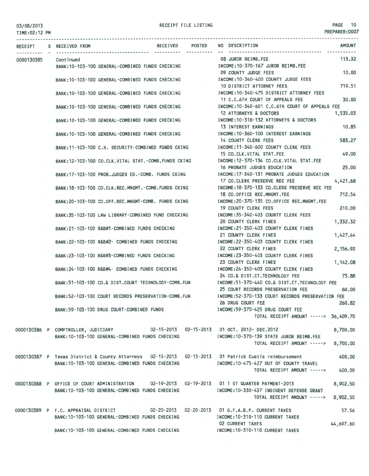| TIME: 02:12 PM |                                                                                                                                                          | PREPARER: 0007                                                                                 |  |
|----------------|----------------------------------------------------------------------------------------------------------------------------------------------------------|------------------------------------------------------------------------------------------------|--|
|                | RECEIVED POSTED<br>RECEIPT S RECEIVED FROM                                                                                                               | NO DESCRIPTION<br><b>AMOUNT</b>                                                                |  |
| 0000130385     | Continued<br>BANK:10-103-100 GENERAL-COMBINED FUNDS CHECKING                                                                                             | 113.32<br>08 JUROR REIMB.FEE<br>INCOME:10-370-167 JUROR REIMB.FEE                              |  |
|                | BANK: 10-103-100 GENERAL-COMBINED FUNDS CHECKING                                                                                                         | 09 COUNTY JUDGE FEES<br>10,00<br>INCOME:10-340-400 COUNTY JUDGE FEES                           |  |
|                |                                                                                                                                                          | 719.51<br>10 DISTRICT ATTORNEY FEES<br>INCOME: 10-340-475 DISTRICT ATTORNEY FEES               |  |
|                | BANK:10-103-100 GENERAL-COMBINED FUNDS CHECKING                                                                                                          | 30.00<br>11 C.C.6TH COURT OF APPEALS FEE                                                       |  |
|                | BANK:10-103-100 GENERAL-COMBINED FUNDS CHECKING                                                                                                          | INCOME: 10-340-601 C.C.6TH COURT OF APPEALS FEE<br>12 ATTORNEYS & DOCTORS<br>1,535.03          |  |
|                | BANK: 10-103-100 GENERAL-COMBINED FUNDS CHECKING                                                                                                         | INCOME: 10-318-132 ATTORNEYS & DOCTORS<br>13 INTEREST EARNINGS<br>10.85                        |  |
|                | BANK:10-103-100 GENERAL-COMBINED FUNDS CHECKING                                                                                                          | INCOME: 10-360-100 INTEREST EARNINGS<br>583.27<br>14 COUNTY CLERK FEES                         |  |
|                | BANK:11-103-100 C.H. SECURITY-COMBINED FUNDS CKING                                                                                                       | INCOME: 11-340-600 COUNTY CLERK FEES<br>15 CO.CLK.VITAL STAT.FEE<br>49.00                      |  |
|                | BANK:12-103-100 CO.CLK.VITAL STAT.-COMB.FUNDS CKING                                                                                                      | INCOME:12-370-134 CO.CLK.VITAL STAT.FEE<br>25,00<br>16 PROBATE JUDGES EDUCATION                |  |
|                | BANK: 17-103-100 PROB.JUDGES ED.-COMB. FUNDS CKING                                                                                                       | INCOME: 17-340-131 PROBATE JUDGES EDUCATION<br>17 CO.CLERK PRESERVE REC FEE<br>4,421.68        |  |
|                | BANK:18-103-100 CO.CLK.REC.MNGMT.-COMB.FUNDS CKING                                                                                                       | INCOME: 18-370-133 CO.CLERK PRESERVE REC FEE<br>712.54<br>18 CO.OFFICE REC.MNGMT.FEE           |  |
|                | BANK:20-103-100 CO.OFF.REC.MNGMT-COMB. FUNDS CKING                                                                                                       | INCOME:20-370-135 CO.OFFICE REC.MNGMT.FEE<br><b>19 COUNTY CLERK FEES</b><br>210.00             |  |
|                | BANK:35-103-100 LAW LIBRARY-COMBINED FUND CHECKING                                                                                                       | INCOME: 35-340-403 COUNTY CLERK FEES<br><b>20 COUNTY CLERK FINES</b><br>1,332.32               |  |
|                | BANK:21-103-100 R&B#1-COMBINED FUNDS CHECKING                                                                                                            | INCOME: 21-350-403 COUNTY CLERK FINES<br>21 COUNTY CLERK FINES<br>1,427.44                     |  |
|                | BANK:22-103-100 R&B#2- COMBINED FUNDS CHECKING                                                                                                           | INCOME:22-350-403 COUNTY CLERK FINES<br>22 COUNTY CLERK FINES                                  |  |
|                | BANK:23-103-100 R&B#3-COMBINED FUNDS CHECKING                                                                                                            | 2,156.92<br>INCOME:23-350-403 COUNTY CLERK FINES                                               |  |
|                | BANK:24-103-100 R&B#4- COMBINED FUNDS CHECKING                                                                                                           | 23 COUNTY CLERK FINES<br>1,142.08<br>INCOME:24-350-403 COUNTY CLERK FINES                      |  |
|                | BANK:51-103-100 CO.& DIST.COURT TECHNOLOGY-COMB.FUN                                                                                                      | 73.88<br>24 CO.& DIST.CT.TECHNOLOGY FEE<br>INCOME:51-370-440 CO.& DIST.CT. TECHNOLOGY FEE      |  |
|                | BANK:52-103-100 COURT RECORDS PRESERVATION-COMB.FUN                                                                                                      | 25 COURT RECORDS PRESERVATION FEE<br>60.00<br>INCOME:52-370-133 COURT RECORDS PRESERVATION FEE |  |
|                | BANK:59-103-100 DRUG COURT-COMBINED FUNDS                                                                                                                | 26 DRUG COURT FEE<br>260.82<br>INCOME:59-370-425 DRUG COURT FEE                                |  |
|                |                                                                                                                                                          | TOTAL RECEIPT AMOUNT -----> 36,409.70                                                          |  |
|                | 0000130386 P COMPTROLLER, JUDICIARY 02-15-2013 02-15-2013 01 OCT. 2012- DEC.2012<br>BANK: 10-103-100 GENERAL-COMBINED FUNDS CHECKING                     | 8,700.00<br>INCOME:10-370-139 STATE JUROR REIMB.FEE                                            |  |
|                |                                                                                                                                                          | TOTAL RECEIPT AMOUNT -----> 8,700.00                                                           |  |
|                | 0000130387 P Texas District & County Attorneys 02-15-2013 02-15-2013 01 Patrick Custis reimbursement<br>BANK: 10-103-100 GENERAL-COMBINED FUNDS CHECKING | 400.00<br>INCOME: 10-475-427 OUT OF COUNTY TRAVEL                                              |  |
|                |                                                                                                                                                          | TOTAL RECEIPT AMOUNT -----><br>400.00                                                          |  |
|                | 0000130388 P OFFICE OF COURT ADMINISTRATION 02-19-2013 02-19-2013 01 1 ST QUARTER PAYMENT-2013<br>BANK: 10-103-100 GENERAL-COMBINED FUNDS CHECKING       | 8,902.50<br>INCOME: 10-330-437 INDIGENT DEFENSE GRANT                                          |  |
|                |                                                                                                                                                          | TOTAL RECEIPT AMOUNT -----><br>8,902.50                                                        |  |
|                | 0000130389 P F.C. APPRAISAL DISTRICT 02-20-2013 02-20-2013 01 G.F.A.B.P. CURRENT TAXES<br>BANK: 10-103-100 GENERAL-COMBINED FUNDS CHECKING               | 57.56<br>INCOME: 10-310-110 CURRENT TAXES                                                      |  |
|                | BANK:10-103-100 GENERAL-COMBINED FUNDS CHECKING MANUSING INCOME:10-310-110 CURRENT TAXES                                                                 | <b>02 CURRENT TAXES</b><br>44,697.60                                                           |  |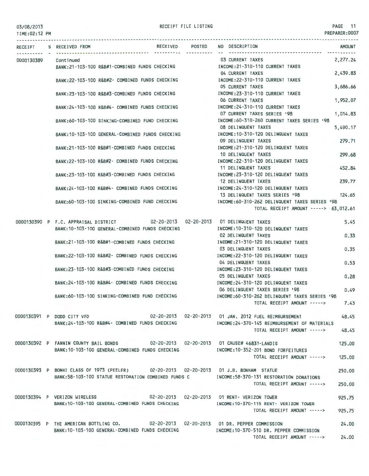| 03/08/2013 |  |
|------------|--|
|------------|--|

PREPARER:0007

TIME:02:12 PM RECEIPT S RECEIVED FROM RECEIVED POSTED NO DESCRIPTION AMOUNT 0000130389 Continued BANK:21-103-100 R&B#1-COMBINED FUNDS CHECKING BANK:22-103-100 R&B#2- COMBINED FUNDS CHECKING BANK:23-103-100 R&B#3-COMBINED FUNDS CHECKING BANK:24- 103-100 R&B#4- COMBINED FUNDS CHECKING BANK:60-103-100 SINKING-COMBINED FUND CHECKING BANK:10 - 103-100 GENERAL-COMBINED FUNDS CHECKING BANK:21-103-100 R&B#1-COMBINED FUNDS CHECKING BANK:22-103-100 R&B#2- COMBINED FUNDS CHECKING BANK:23-103-100 R&B#3 -COMBINED FUNDS CHECKING BANK:24 - 103-100 R&B#4- COMBINED FUNDS CHECKING BANK:60-103-100 SINKING-COMBINED FUND CHECK ING INCOME:21-310-110 CURRENT TAXES INCOME:22-310-110 CURRENT TAXES INCOME:23-310-110 CURRENT TAXES INCOME:24-310-110 CURRENT TAXES 07 CURRENT TAXES SERIES '98 03 CURRENT TAXES 04 CURRENT TAXES OS CURRENT TAXES 06 CURRENT TAXES INCOME:60-310-260 CURRENT TAXES SERIES ' 98 08 DELINQUENT TAXES INCOME:10-310- 120 DELINQUENT TAXES 09 DELINQUENT TAXES INCOME:21-310-120 DELINQUENT TAXES 10 DELINQUENT TAXES INCOME:22-310-120 DELINQUENT TAXES 11 DELINQUENT TAXES INCOME:23 -310- 120 DEL INQUENT TAXES 12 DELINQUENT TAXES INCOME:24-310-120 DELINQUENT TAXES 13 DELINQUENT TAXES SERIES '98 INCOME:60-310-262 DELINQUENT TAXES SER IES '98 TOTAL RECEIPT AMOUNT -----> 63,012.61 2,277.24 2,439.83 3,686.66 1,9S2.07 1,014.83 S,490.17 279.71 299.68 4S2.84 239.77 124.6S 0000130390 P F.C. APPRAISAL DISTRICT 02-20-2013 02-20-2013 01 DELINQUENT TAXES 5.45 BANK:10-103-100 GENERAL-COMBINED FUNDS CHECKING INCOME:10-310-120 DELINQUENT TAXES BANK:21 - 103- 100 R&B#1-COMBINED FUNDS CHECKING BANK:22-103-100 R&B#2- COMBINED FUNDS CHECK ING BANK:23-103-100 R&B#3 -COMBINED FUNDS CHECKING 02 DELINQUENT TAXES INCOME:21-310-120 DELINQUENT TAXES 03 DELINQUENT TAXES INCOME:22-310-120 DELINQUENT TAXES 04 DELINQUENT TAXES INCOME:23-310-120 DELINQUENT TAXES 0.33 0.3S O.S3 OS DELINQUENT TAXES 0.28 BANK:24-103-100 R&B#4- COMBINED FUNDS CHECKING INCOME:24-310- 120 DEL INQUENT TAXES 06 DELINQUENT TAXES SERIES '98 0.49 BANK:60- 103-100 SINKING-COMBINED FUND CHECKING INCOME:60-310-262 DELINQUENT TAXES SERIES '98 TOTAL RECEIPT AMOUNT -----> 7.43 0000130391 P DODD CITY VFD 02-20-2013 02-20-2013 01 JAN. 2012 FUEL REIMBURSEMENT 48.4S BANK:24-103-100 R&B#4- COMBINED FUNDS CHECKING INCOME:24-370- 14S REIMBURSEMENT OF MATERIALS TOTAL RECEIPT AMOUNT -----> 48.4S 0000130392 P FANNIN COUNTY BAIL BONDS 02-20-2013 02-20-2013 01 CAUSE# 46831 -LANDIS BANK:10-103-100 GENERAL-COMBINED FUNDS CHECKING INCOME:10-3S2-201 BOND FORFEITURES TOTAL RECEIPT AMOUNT -- ---> 12S.OO 0000130393 P BONHI CLASS OF 1973 (PEELER) 02-20-2013 02-20-2013 01 J.B. BONHAM STATUE BANK:S8-103- 100 STATUE RESTORATION COMBINED FUNDS C INCOME:S8-370- 131 RESTORATION DONATIONS TOTAL RECEIPT AMOUNT -----> 0000130394 P VERIZON WIRELESS 02-20-2013 02-20-2013 01 RENT- VERIZON TOWER BANK:10-103-100 GENERAL-COMBINED FUNDS CHECKING INCOME:10-370-115 RENT- VERIZON TOWER TOTAL RECEIPT AMOUNT -----> 92S.7S 12S.OO 2SO.OO 2SO.OO 92S.7S 0000130395 P THE AMERICAN BOTTLING CO. 02-20-2013 02-20-2013 01 DR. PEPPER COMMISSION 24.00 BANK:10-103-100 GENERAL-COMBINED FUNDS CHECKING INCOME:10-370-S10 DR. PEPPER COMMISSION TOTAL RECEIPT AMOUNT -----> 24.00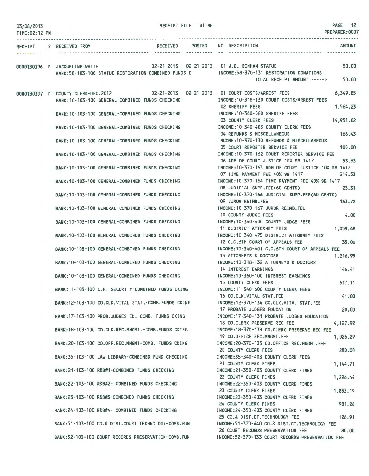| 03/08/2013<br>TIME:02:12 PM |                                                     |  | RECEIPT FILE LISTING |                                                                                           | PAGE 12<br>PREPARER: 0007 |
|-----------------------------|-----------------------------------------------------|--|----------------------|-------------------------------------------------------------------------------------------|---------------------------|
|                             | RECEIPT S RECEIVED FROM                             |  |                      | RECEIVED POSTED NO DESCRIPTION                                                            | AMOUNT                    |
|                             |                                                     |  |                      | 0000130396 P JACQUELINE WHITE<br>02-21-2013 02-21-2013 01 J.B. BONHAM STATUE              | 50,00                     |
|                             |                                                     |  |                      | BANK:58-103-100 STATUE RESTORATION COMBINED FUNDS C MODE:58-370-131 RESTORATION DONATIONS |                           |
|                             |                                                     |  |                      | TOTAL RECEIPT AMOUNT ----->                                                               | 50.00                     |
|                             |                                                     |  |                      | 0000130397 P COUNTY CLERK-DEC.2012 02-21-2013 02-21-2013 01 COURT COSTS/ARREST FEES       | 6,349.85                  |
|                             | BANK: 10-103-100 GENERAL-COMBINED FUNDS CHECKING    |  |                      | INCOME: 10-318-130 COURT COSTS/ARREST FEES<br><b>02 SHERIFF FEES</b>                      | 1,564.23                  |
|                             | BANK: 10-103-100 GENERAL-COMBINED FUNDS CHECKING    |  |                      | INCOME:10-340-560 SHERIFF FEES<br>03 COUNTY CLERK FEES                                    | 14,951.02                 |
|                             | BANK:10-103-100 GENERAL-COMBINED FUNDS CHECKING     |  |                      | INCOME:10-340-403 COUNTY CLERK FEES<br>04 REFUNDS & MISCELLANEOUS                         | 166.43                    |
|                             | BANK: 10-103-100 GENERAL-COMBINED FUNDS CHECKING    |  |                      | INCOME: 10-370-130 REFUNDS & MISCELLANEOUS<br>05 COURT REPORTER SERVICE FEE               | 105,00                    |
|                             | BANK:10-103-100 GENERAL-COMBINED FUNDS CHECKING     |  |                      | INCOME: 10-370-162 COURT REPORTER SERVICE FEE<br>06 ADM.OF COURT JUSTICE 10% SB 1417      | 53.63                     |
|                             | BANK:10-103-100 GENERAL-COMBINED FUNDS CHECKING     |  |                      | INCOME: 10-370-163 ADM.OF COURT JUSTICE 10% SB 1417                                       |                           |
|                             | BANK: 10-103-100 GENERAL-COMBINED FUNDS CHECKING    |  |                      | 07 TIME PAYMENT FEE 40% SB 1417<br>INCOME: 10-370-164 TIME PAYMENT FEE 40% SB 1417        | 214.53                    |
|                             | BANK: 10-103-100 GENERAL-COMBINED FUNDS CHECKING    |  |                      | 08 JUDICIAL SUPP.FEE(60 CENTS)<br>INCOME: 10-370-166 JUDICIAL SUPP.FEE(60 CENTS)          | 23.31                     |
|                             | BANK:10-103-100 GENERAL-COMBINED FUNDS CHECKING     |  |                      | 09 JUROR REIMB.FEE<br>INCOME:10-370-167 JUROR REIMB.FEE                                   | 163.72                    |
|                             | BANK: 10-103-100 GENERAL-COMBINED FUNDS CHECKING    |  |                      | 10 COUNTY JUDGE FEES<br>INCOME:10-340-400 COUNTY JUDGE FEES                               | 4.00                      |
|                             | BANK:10-103-100 GENERAL-COMBINED FUNDS CHECKING     |  |                      | 11 DISTRICT ATTORNEY FEES<br>INCOME: 10-340-475 DISTRICT ATTORNEY FEES                    | 1,059.48                  |
|                             | BANK: 10-103-100 GENERAL-COMBINED FUNDS CHECKING    |  |                      | 12 C.C.6TH COURT OF APPEALS FEE<br>INCOME:10-340-601 C.C.6TH COURT OF APPEALS FEE         | 35,00                     |
|                             | BANK:10-103-100 GENERAL-COMBINED FUNDS CHECKING     |  |                      | 13 ATTORNEYS & DOCTORS<br>INCOME: 10-318-132 ATTORNEYS & DOCTORS                          | 1,216.95                  |
|                             | BANK:10-103-100 GENERAL-COMBINED FUNDS CHECKING     |  |                      | 14 INTEREST EARNINGS<br>INCOME: 10-360-100 INTEREST EARNINGS                              | 146.41                    |
|                             | BANK:11-103-100 C.H. SECURITY-COMBINED FUNDS CKING  |  |                      | 15 COUNTY CLERK FEES<br>INCOME: 11-340-600 COUNTY CLERK FEES                              | 617.11                    |
|                             | BANK:12-103-100 CO.CLK.VITAL STAT.-COMB.FUNDS CKING |  |                      | 16 CO.CLK.VITAL STAT.FEE<br>INCOME:12-370-134 CO.CLK.VITAL STAT.FEE                       | 41.00                     |
|                             | BANK: 17-103-100 PROB.JUDGES ED.-COMB. FUNDS CKING  |  |                      | 17 PROBATE JUDGES EDUCATION<br>INCOME: 17-340-131 PROBATE JUDGES EDUCATION                | 20,00                     |
|                             | BANK:18-103-100 CO.CLK.REC.MNGMT.-COMB.FUNDS CKING  |  |                      | 18 CO.CLERK PRESERVE REC FEE<br>INCOME:18-370-133 CO.CLERK PRESERVE REC FEE               | 4,127.92                  |
|                             | BANK: 20-103-100 CO.OFF.REC.MNGMT-COMB. FUNDS CKING |  |                      | 19 CO.OFFICE REC.MNGMT.FEE<br>INCOME:20-370-135 CO.OFFICE REC.MNGMT.FEE                   | 1,026.29                  |
|                             | BANK: 35-103-100 LAW LIBRARY-COMBINED FUND CHECKING |  |                      | 20 COUNTY CLERK FEES<br>INCOME: 35-340-403 COUNTY CLERK FEES                              | 280.00                    |
|                             | BANK:21-103-100 R&B#1-COMBINED FUNDS CHECKING       |  |                      | 21 COUNTY CLERK FINES<br>INCOME:21-350-403 COUNTY CLERK FINES                             | 1, 144.71                 |
|                             | BANK: 22-103-100 R&B#2- COMBINED FUNDS CHECKING     |  |                      | 22 COUNTY CLERK FINES<br>INCOME:22-350-403 COUNTY CLERK FINES                             | 1,226.44                  |
|                             | BANK:23-103-100 R&B#3-COMBINED FUNDS CHECKING       |  |                      | 23 COUNTY CLERK FINES<br>INCOME:23-350-403 COUNTY CLERK FINES                             | 1,853.19                  |
|                             | BANK:24-103-100 R&B#4- COMBINED FUNDS CHECKING      |  |                      | 24 COUNTY CLERK FINES<br>INCOME:24-350-403 COUNTY CLERK FINES                             | 981.26                    |
|                             | BANK:51-103-100 CO.& DIST.COURT TECHNOLOGY-COMB.FUN |  |                      | 25 CO.& DIST.CT.TECHNOLOGY FEE<br>INCOME:51-370-440 CO.& DIST.CT.TECHNOLOGY FEE           | 126.91                    |
|                             | BANK:52-103-100 COURT RECORDS PRESERVATION-COMB.FUN |  |                      | 26 COURT RECORDS PRESERVATION FEE<br>INCOME:52-370-133 COURT RECORDS PRESERVATION FEE     | 80.00                     |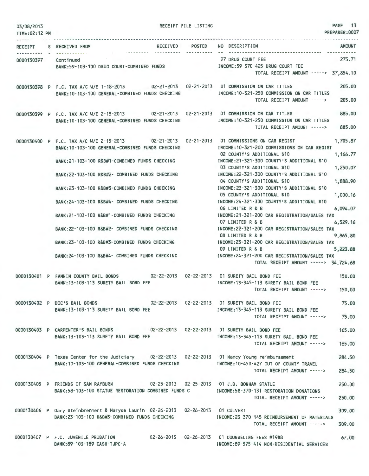| 03/08/2013<br>TIME: 02:12 PM |  | RECEIPT FILE LISTING                                                                                                                                                                                                                                                                                                                                                                                                                                                                                                                                                                                                                                                                                         | PAGE 13<br>PREPARER: 0007 |                                                                                                                                                                                                                                                                                                                                                                                                                                                                                                                                                 |                                                                                                          |  |
|------------------------------|--|--------------------------------------------------------------------------------------------------------------------------------------------------------------------------------------------------------------------------------------------------------------------------------------------------------------------------------------------------------------------------------------------------------------------------------------------------------------------------------------------------------------------------------------------------------------------------------------------------------------------------------------------------------------------------------------------------------------|---------------------------|-------------------------------------------------------------------------------------------------------------------------------------------------------------------------------------------------------------------------------------------------------------------------------------------------------------------------------------------------------------------------------------------------------------------------------------------------------------------------------------------------------------------------------------------------|----------------------------------------------------------------------------------------------------------|--|
|                              |  |                                                                                                                                                                                                                                                                                                                                                                                                                                                                                                                                                                                                                                                                                                              |                           |                                                                                                                                                                                                                                                                                                                                                                                                                                                                                                                                                 |                                                                                                          |  |
| <b>RECEIPT</b>               |  | RECEIVED POSTED<br>S RECEIVED FROM                                                                                                                                                                                                                                                                                                                                                                                                                                                                                                                                                                                                                                                                           |                           | NO DESCRIPTION                                                                                                                                                                                                                                                                                                                                                                                                                                                                                                                                  | <b>AMOUNT</b>                                                                                            |  |
|                              |  | 0000130397 Continued<br>BANK:59-103-100 DRUG COURT-COMBINED FUNDS                                                                                                                                                                                                                                                                                                                                                                                                                                                                                                                                                                                                                                            |                           | 27 DRUG COURT FEE<br>27 DRUG COURT FEE<br>INCOME:59-370-425 DRUG COURT FEE<br>TOTAL RECEIPT AMOUNT -----> 37,854.10                                                                                                                                                                                                                                                                                                                                                                                                                             | 275.71                                                                                                   |  |
|                              |  | 0000130398 P F.C. TAX A/C W/E 1-18-2013 02-21-2013 02-21-2013 01 COMMISSION ON CAR TITLES<br>BANK: 10-103-100 GENERAL-COMBINED FUNDS CHECKING                                                                                                                                                                                                                                                                                                                                                                                                                                                                                                                                                                |                           | INCOME:10-321-250 COMMISSION ON CAR TITLES<br>TOTAL RECEIPT AMOUNT ----->                                                                                                                                                                                                                                                                                                                                                                                                                                                                       | 205.00<br>205,00                                                                                         |  |
|                              |  | 0000130399 P F.C. TAX A/C W/E 2-15-2013 02-21-2013 02-21-2013 01 COMMISSION ON CAR TITLES<br>BANK: 10-103-100 GENERAL-COMBINED FUNDS CHECKING                                                                                                                                                                                                                                                                                                                                                                                                                                                                                                                                                                |                           | INCOME: 10-321-250 COMMISSION ON CAR TITLES<br>TOTAL RECEIPT AMOUNT ----->                                                                                                                                                                                                                                                                                                                                                                                                                                                                      | 885,00<br>885.00                                                                                         |  |
|                              |  | 0000130400 P F.C. TAX A/C W/E 2-15-2013 02-21-2013 02-21-2013 01 COMMISSIONS ON CAR REGIST<br>BANK:10-103-100 GENERAL-COMBINED FUNDS CHECKING INCOME:10-321-200 COMMISSIONS ON CAR REGIST<br>BANK:21-103-100 R&B#1-COMBINED FUNDS CHECKING MANUSIC INCOME:21-321-300 COUNTY'S ADDITIONAL \$10<br>BANK:22-103-100 R&B#2- COMBINED FUNDS CHECKING MANUSIC INCOME:22-321-300 COUNTY'S ADDITIONAL \$10<br>BANK:23-103-100 R&B#3-COMBINED FUNDS CHECKING<br>BANK:24-103-100 R&B#4- COMBINED FUNDS CHECKING<br>BANK:21-103-100 R&B#1-COMBINED FUNDS CHECKING<br>BANK:22-103-100 R&B#2- COMBINED FUNDS CHECKING<br>BANK:23-103-100 R&B#3-COMBINED FUNDS CHECKING<br>BANK: 24-103-100 R&B#4- COMBINED FUNDS CHECKING |                           | 02 COUNTY'S ADDITIONAL \$10<br>03 COUNTY'S ADDITIONAL \$10<br>04 COUNTY'S ADDITIONAL \$10<br>INCOME: 23-321-300 COUNTY'S ADDITIONAL \$10<br>05 COUNTY'S ADDITIONAL \$10<br>INCOME:24-321-300 COUNTY'S ADDITIONAL \$10<br>06 LIMITED R & B<br>INCOME:21-321-200 CAR REGISTRATION/SALES TAX<br>07 LIMITED R & B<br>INCOME:22-321-200 CAR REGISTRATION/SALES TAX<br>08 LIMITED R & B<br>INCOME: 23-321-200 CAR REGISTRATION/SALES TAX<br>09 LIMITED R & B<br>INCOME:24-321-200 CAR REGISTRATION/SALES TAX<br>TOTAL RECEIPT AMOUNT -----> 34,724.68 | 1,705.87<br>1,166.77<br>1,250.07<br>1,888.90<br>1,000.16<br>6,094.07<br>6,529.16<br>9,865.80<br>5,223.88 |  |
|                              |  | 0000130401 P FANNIN COUNTY BAIL BONDS 02-22-2013 02-22-2013 01 SURETY BAIL BOND FEE<br>BANK: 13-103-113 SURETY BAIL BOND FEE                                                                                                                                                                                                                                                                                                                                                                                                                                                                                                                                                                                 |                           | INCOME:13-345-113 SURETY BAIL BOND FEE<br>TOTAL RECEIPT AMOUNT -----> 150.00                                                                                                                                                                                                                                                                                                                                                                                                                                                                    | 150,00                                                                                                   |  |
|                              |  | 0000130402 P DOC'S BAIL BONDS<br>BANK: 13-103-113 SURETY BAIL BOND FEE                                                                                                                                                                                                                                                                                                                                                                                                                                                                                                                                                                                                                                       |                           | 02-22-2013    02-22-2013    01 SURETY BAIL BOND FEE<br>INCOME: 13-345-113 SURETY BAIL BOND FEE<br>TOTAL RECEIPT AMOUNT ----->                                                                                                                                                                                                                                                                                                                                                                                                                   | 75.00<br>75.00                                                                                           |  |
|                              |  | 0000130403 P CARPENTER'S BAIL BONDS 02-22-2013 02-22-2013 01 SURETY BAIL BOND FEE<br>BANK: 13-103-113 SURETY BAIL BOND FEE                                                                                                                                                                                                                                                                                                                                                                                                                                                                                                                                                                                   |                           | INCOME: 13-345-113 SURETY BAIL BOND FEE<br>TOTAL RECEIPT AMOUNT ----->                                                                                                                                                                                                                                                                                                                                                                                                                                                                          | 165,00<br>165.00                                                                                         |  |
|                              |  | 0000130404 P Texas Center for the Judiciary 02-22-2013 02-22-2013 01 Nancy Young reimbursement<br>BANK: 10-103-100 GENERAL-COMBINED FUNDS CHECKING                                                                                                                                                                                                                                                                                                                                                                                                                                                                                                                                                           |                           | INCOME: 10-450-427 OUT OF COUNTY TRAVEL<br>TOTAL RECEIPT AMOUNT ----->                                                                                                                                                                                                                                                                                                                                                                                                                                                                          | 284.50<br>284.50                                                                                         |  |
|                              |  | 0000130405 P FRIENDS OF SAM RAYBURN 02-25-2013 02-25-2013 01 J.B. BONHAM STATUE<br>BANK:58-103-100 STATUE RESTORATION COMBINED FUNDS C                                                                                                                                                                                                                                                                                                                                                                                                                                                                                                                                                                       |                           | INCOME:58-370-131 RESTORATION DONATIONS<br>TOTAL RECEIPT AMOUNT ----->                                                                                                                                                                                                                                                                                                                                                                                                                                                                          | 250,00<br>250,00                                                                                         |  |
|                              |  | 0000130406 P Gary Steinbrennert & Maryse Laurin 02-26-2013 02-26-2013 01 CULVERT<br>BANK:23-103-100 R&B#3-COMBINED FUNDS CHECKING                                                                                                                                                                                                                                                                                                                                                                                                                                                                                                                                                                            |                           | INCOME: 23-370-145 REIMBURSEMENT OF MATERIALS<br>TOTAL RECEIPT AMOUNT ----->                                                                                                                                                                                                                                                                                                                                                                                                                                                                    | 309.00<br>309.00                                                                                         |  |
|                              |  | 0000130407 P F.C. JUVENILE PROBATION<br>BANK:89-103-189 CASH-TJPC-A                                                                                                                                                                                                                                                                                                                                                                                                                                                                                                                                                                                                                                          |                           | INCOME:89-575-414 NON-RESIDENTIAL SERVICES                                                                                                                                                                                                                                                                                                                                                                                                                                                                                                      | 67.00                                                                                                    |  |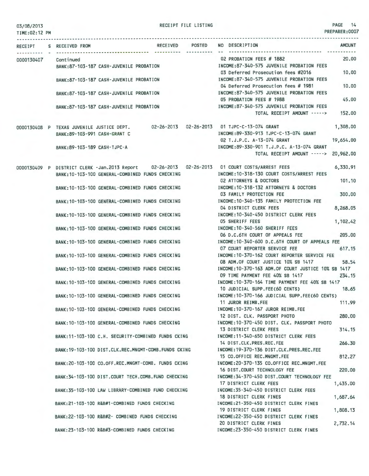RECEIPT FILE LISTING **PAGE 14** 

| PREPARER:0007<br>TIME:02:12 PM |  |                                                      |                                                                                                     |                 |                                                                       |                                                                                                                                                                                        |                 |
|--------------------------------|--|------------------------------------------------------|-----------------------------------------------------------------------------------------------------|-----------------|-----------------------------------------------------------------------|----------------------------------------------------------------------------------------------------------------------------------------------------------------------------------------|-----------------|
|                                |  | RECEIPT S RECEIVED FROM                              |                                                                                                     | RECEIVED POSTED |                                                                       | AMOUNT<br>NO DESCRIPTION                                                                                                                                                               |                 |
| 0000130407                     |  | Continued<br>BANK:87-103-187 CASH-JUVENILE PROBATION |                                                                                                     |                 | 02 PROBATION FEES # 1882<br>INCOME:87-340-575 JUVENILE PROBATION FEES | 20,00                                                                                                                                                                                  |                 |
|                                |  |                                                      | BANK:87-103-187 CASH-JUVENILE PROBATION                                                             |                 |                                                                       | 03 Deferred Prosecution fees #2016<br>INCOME:87-340-575 JUVENILE PROBATION FEES                                                                                                        | 10,00           |
|                                |  |                                                      | BANK: 87-103-187 CASH-JUVENILE PROBATION                                                            |                 |                                                                       | 04 Deferred Prosecution fees # 1981<br>INCOME:87-340-575 JUVENILE PROBATION FEES                                                                                                       | 10,00           |
|                                |  |                                                      | BANK:87-103-187 CASH-JUVENILE PROBATION                                                             |                 |                                                                       | 05 PROBATION FEES # 1988<br>INCOME:87-340-575 JUVENILE PROBATION FEES                                                                                                                  | 45.00           |
|                                |  |                                                      |                                                                                                     |                 |                                                                       | TOTAL RECEIPT AMOUNT ----->                                                                                                                                                            | 152.00          |
|                                |  | BANK:89-103-991 CASH-GRANT C                         |                                                                                                     |                 |                                                                       | 1,308.00<br>0000130408 P TEXAS JUVENILE JUSTICE DEPT. 02-26-2013 02-26-2013 01 TJPC-C-13-074 GRANT<br>INCOME:89-330-913 TJPC-C-13-074 GRANT<br>02 T.J.P.C. A-13-074 GRANT<br>19,654.00 |                 |
|                                |  | BANK:89-103-189 CASH-TJPC-A                          |                                                                                                     |                 |                                                                       | INCOME:89-330-901 T.J.P.C. A-13-074 GRANT<br>TOTAL RECEIPT AMOUNT -----> 20,962.00                                                                                                     |                 |
|                                |  |                                                      | BANK: 10-103-100 GENERAL-COMBINED FUNDS CHECKING                                                    |                 | <u> 1999 - 대한 대</u>                                                   | 0000130409 P DISTRICT CLERK -Jan.2013 Report 02-26-2013 02-26-2013 01 COURT COSTS/ARREST FEES<br>INCOME: 10-318-130 COURT COSTS/ARREST FEES                                            | 6,330.91        |
|                                |  |                                                      | BANK:10-103-100 GENERAL-COMBINED FUNDS CHECKING                                                     |                 |                                                                       | 02 ATTORNEYS & DOCTORS<br>INCOME: 10-318-132 ATTORNEYS & DOCTORS                                                                                                                       | 101,10          |
|                                |  |                                                      | BANK: 10-103-100 GENERAL-COMBINED FUNDS CHECKING                                                    |                 |                                                                       | 03 FAMILY PROTECTION FEE<br>INCOME: 10-340-135 FAMILY PROTECTION FEE                                                                                                                   | 300,00          |
|                                |  |                                                      | BANK: 10-103-100 GENERAL-COMBINED FUNDS CHECKING                                                    |                 |                                                                       | 04 DISTRICT CLERK FEES<br>8,268.05<br>INCOME: 10-340-450 DISTRICT CLERK FEES                                                                                                           |                 |
|                                |  |                                                      | BANK: 10-103-100 GENERAL-COMBINED FUNDS CHECKING                                                    |                 |                                                                       | <b>05 SHERIFF FEES</b><br>1,102.42<br>INCOME: 10-340-560 SHERIFF FEES                                                                                                                  |                 |
|                                |  |                                                      | BANK: 10-103-100 GENERAL-COMBINED FUNDS CHECKING                                                    |                 |                                                                       | 06 D.C.6TH COURT OF APPEALS FEE<br>INCOME: 10-340-600 D.C.6TH COURT OF APPEALS FEE                                                                                                     | 205,00          |
|                                |  |                                                      | BANK: 10-103-100 GENERAL-COMBINED FUNDS CHECKING                                                    |                 |                                                                       | 07 COURT REPORTER SERVICE FEE<br>INCOME:10-370-162 COURT REPORTER SERVICE FEE                                                                                                          | 617.15          |
|                                |  |                                                      | BANK: 10-103-100 GENERAL-COMBINED FUNDS CHECKING                                                    |                 |                                                                       | 08 ADM. OF COURT JUSTICE 10% SB 1417<br>INCOME: 10-370-163 ADM.OF COURT JUSTICE 10% SB 1417<br>09 TIME PAYMENT FEE 40% SB 1417                                                         | 58.54<br>234.15 |
|                                |  |                                                      | BANK: 10-103-100 GENERAL-COMBINED FUNDS CHECKING                                                    |                 |                                                                       | INCOME: 10-370-164 TIME PAYMENT FEE 40% SB 1417<br>10 JUDICIAL SUPP.FEE(60 CENTS)                                                                                                      | 18.65           |
|                                |  |                                                      | BANK: 10-103-100 GENERAL-COMBINED FUNDS CHECKING                                                    |                 |                                                                       | INCOME: 10-370-166 JUDICIAL SUPP.FEE(60 CENTS)<br>11 JUROR REIMB.FEE                                                                                                                   | 111.99          |
|                                |  |                                                      | BANK: 10-103-100 GENERAL-COMBINED FUNDS CHECKING                                                    |                 |                                                                       | INCOME:10-370-167 JUROR REIMB.FEE<br>12 DIST. CLK. PASSPORT PHOTO                                                                                                                      | 280,00          |
|                                |  |                                                      | BANK: 10-103-100 GENERAL-COMBINED FUNDS CHECKING                                                    |                 |                                                                       | INCOME: 10-370-450 DIST. CLK. PASSPORT PHOTO<br>13 DISTRICT CLERK FEES                                                                                                                 | 314.15          |
|                                |  |                                                      | BANK:11-103-100 C.H. SECURITY-COMBINED FUNDS CKING                                                  |                 |                                                                       | INCOME: 11-340-650 DISTRICT CLERK FEES<br>14 DIST.CLK.PRES.REC.FEE                                                                                                                     | 266.30          |
|                                |  |                                                      | BANK: 19-103-100 DIST.CLK.REC.MNGMT-COMB.FUNDS CKING                                                |                 |                                                                       | INCOME: 19-370-136 DIST.CLK.PRES.REC.FEE<br>15 CO.OFFICE REC.MNGMT.FEE                                                                                                                 | 812.27          |
|                                |  |                                                      | BANK: 20-103-100 CO.OFF.REC.MNGMT-COMB. FUNDS CKING                                                 |                 |                                                                       | INCOME: 20-370-135 CO.OFFICE REC.MNGMT.FEE<br>16 DIST.COURT TECHNOLOGY FEE                                                                                                             | 220,00          |
|                                |  |                                                      | BANK: 34-103-100 DIST.COURT TECH.COMB.FUND CHECKING                                                 |                 |                                                                       | INCOME: 34-370-450 DIST, COURT TECHNOLOGY FEE<br>17 DISTRICT CLERK FEES<br>1,435.00                                                                                                    |                 |
|                                |  |                                                      | BANK:35-103-100 LAW LIBRARY-COMBINED FUND CHECKING<br>BANK:21-103-100 R&B#1-COMBINED FUNDS CHECKING |                 |                                                                       | INCOME: 35-340-450 DISTRICT CLERK FEES<br>18 DISTRICT CLERK FINES<br>1,687.64<br>INCOME: 21-350-450 DISTRICT CLERK FINES                                                               |                 |
|                                |  |                                                      | BANK: 22-103-100 R&B#2- COMBINED FUNDS CHECKING                                                     |                 |                                                                       | 19 DISTRICT CLERK FINES<br>1,808.13<br>INCOME:22-350-450 DISTRICT CLERK FINES                                                                                                          |                 |
|                                |  |                                                      | BANK: 23-103-100 R&B#3-COMBINED FUNDS CHECKING                                                      |                 |                                                                       | 20 DISTRICT CLERK FINES<br>2,732.14<br>INCOME:23-350-450 DISTRICT CLERK FINES                                                                                                          |                 |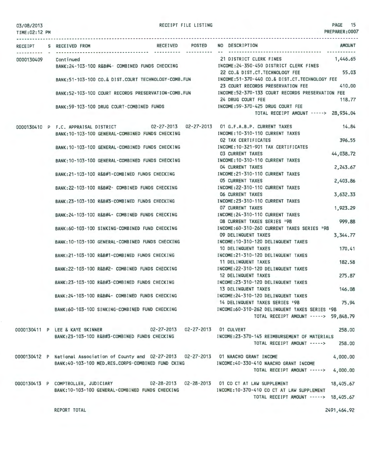TIME:02:12 PM

RECEIPT FILE LISTING

PAGE 15 PREPARER:0007

|            | RECEIPT S RECEIVED FROM                                                                        | RECEIVED POSTED | NO DESCRIPTION<br><b>AMOUNT</b>                  |
|------------|------------------------------------------------------------------------------------------------|-----------------|--------------------------------------------------|
| 0000130409 | Continued                                                                                      |                 | 1.446.65<br>21 DISTRICT CLERK FINES              |
|            | BANK:24-103-100 R&B#4- COMBINED FUNDS CHECKING                                                 |                 | INCOME:24-350-450 DISTRICT CLERK FINES           |
|            |                                                                                                |                 | 55.03<br>22 CO.& DIST.CT.TECHNOLOGY FEE          |
|            | BANK:51-103-100 CO.& DIST.COURT TECHNOLOGY-COMB.FUN                                            |                 | INCOME:51-370-440 CO.& DIST.CT.TECHNOLOGY FEE    |
|            |                                                                                                |                 | 23 COURT RECORDS PRESERVATION FEE<br>410,00      |
|            | BANK:52-103-100 COURT RECORDS PRESERVATION-COMB.FUN                                            |                 | INCOME:52-370-133 COURT RECORDS PRESERVATION FEE |
|            |                                                                                                |                 | 24 DRUG COURT FEE<br>118.77                      |
|            | BANK:59-103-100 DRUG COURT-COMBINED FUNDS                                                      |                 | INCOME:59-370-425 DRUG COURT FEE                 |
|            |                                                                                                |                 | TOTAL RECEIPT AMOUNT -----> 28,934.04            |
|            | 0000130410 P F.C. APPRAISAL DISTRICT 02-27-2013 02-27-2013 01 G.F.A.B.P. CURRENT TAXES         |                 | 14.84                                            |
|            | BANK: 10-103-100 GENERAL-COMBINED FUNDS CHECKING                                               |                 | INCOME: 10-310-110 CURRENT TAXES                 |
|            |                                                                                                |                 | 396.55<br>02 TAX CERTIFICATES                    |
|            | BANK: 10-103-100 GENERAL-COMBINED FUNDS CHECKING                                               |                 | INCOME:10-321-901 TAX CERTIFICATES               |
|            |                                                                                                |                 | 44,038.72<br><b>03 CURRENT TAXES</b>             |
|            | BANK: 10-103-100 GENERAL-COMBINED FUNDS CHECKING                                               |                 | INCOME: 10-310-110 CURRENT TAXES                 |
|            |                                                                                                |                 | 04 CURRENT TAXES<br>2,243.67                     |
|            | BANK:21-103-100 R&B#1-COMBINED FUNDS CHECKING                                                  |                 | INCOME: 21-310-110 CURRENT TAXES                 |
|            |                                                                                                |                 | <b>05 CURRENT TAXES</b><br>2,403.86              |
|            | BANK: 22-103-100 R&B#2- COMBINED FUNDS CHECKING                                                |                 | INCOME: 22-310-110 CURRENT TAXES                 |
|            |                                                                                                |                 | <b>06 CURRENT TAXES</b><br>3,632.33              |
|            | BANK: 23-103-100 R&B#3-COMBINED FUNDS CHECKING                                                 |                 | INCOME: 23-310-110 CURRENT TAXES                 |
|            |                                                                                                |                 | 07 CURRENT TAXES<br>1,923.29                     |
|            | BANK:24-103-100 R&B#4- COMBINED FUNDS CHECKING                                                 |                 | INCOME: 24-310-110 CURRENT TAXES                 |
|            |                                                                                                |                 | 999.88<br>08 CURRENT TAXES SERIES '98            |
|            | BANK:60-103-100 SINKING-COMBINED FUND CHECKING                                                 |                 | INCOME: 60-310-260 CURRENT TAXES SERIES '98      |
|            |                                                                                                |                 | 09 DELINQUENT TAXES<br>3,344.77                  |
|            | BANK: 10-103-100 GENERAL-COMBINED FUNDS CHECKING                                               |                 | INCOME: 10-310-120 DELINQUENT TAXES              |
|            |                                                                                                |                 | 10 DELINQUENT TAXES<br>170.41                    |
|            | BANK:21-103-100 R&B#1-COMBINED FUNDS CHECKING                                                  |                 | INCOME: 21-310-120 DELINQUENT TAXES              |
|            |                                                                                                |                 | 182.58<br>11 DELINQUENT TAXES                    |
|            | BANK:22-103-100 R&B#2- COMBINED FUNDS CHECKING                                                 |                 | INCOME: 22-310-120 DELINQUENT TAXES              |
|            |                                                                                                |                 | 12 DELINQUENT TAXES<br>275.87                    |
|            | BANK:23-103-100 R&B#3-COMBINED FUNDS CHECKING                                                  |                 | INCOME: 23-310-120 DELINQUENT TAXES              |
|            |                                                                                                |                 | 13 DELINQUENT TAXES<br>146.08                    |
|            | BANK:24-103-100 R&B#4- COMBINED FUNDS CHECKING                                                 |                 | INCOME: 24-310-120 DELINQUENT TAXES              |
|            |                                                                                                |                 | 14 DELINQUENT TAXES SERIES '98<br>75.94          |
|            | BANK:60-103-100 SINKING-COMBINED FUND CHECKING                                                 |                 | INCOME:60-310-262 DELINQUENT TAXES SERIES '98    |
|            |                                                                                                |                 | TOTAL RECEIPT AMOUNT -----> 59,848.79            |
|            | 0000130411 P LEE & KAYE SKINNER  02-27-2013  02-27-2013  01 CULVERT                            |                 | 258.00                                           |
|            | BANK:23-103-100 R&B#3-COMBINED FUNDS CHECKING                                                  |                 | INCOME: 23-370-145 REIMBURSEMENT OF MATERIALS    |
|            |                                                                                                |                 | TOTAL RECEIPT AMOUNT -----><br>258.00            |
|            |                                                                                                |                 |                                                  |
|            | 0000130412 P National Association of County and 02-27-2013  02-27-2013  01 NAACHO GRANT INCOME |                 | 4,000.00                                         |
|            | BANK:40-103-100 MED.RES.CORPS-COMBINED FUND CKING                                              |                 | INCOME:40-330-410 NAACHO GRANT INCOME            |
|            |                                                                                                |                 | 4,000.00<br>TOTAL RECEIPT AMOUNT ----->          |
|            |                                                                                                |                 |                                                  |
|            | 0000130413 P COMPTROLLER, JUDICIARY        02-28-2013  02-28-2013  01 CO CT AT LAW SUPPLEMENT  |                 | 18,405.67                                        |
|            | BANK:10-103-100 GENERAL-COMBINED FUNDS CHECKING MOTHER:10-370-410 CO CT AT LAW SUPPLEMENT      |                 |                                                  |
|            |                                                                                                |                 | TOTAL RECEIPT AMOUNT -----> 18,405.67            |
|            |                                                                                                |                 |                                                  |
|            | REPORT TOTAL                                                                                   |                 | 2491,464.92                                      |